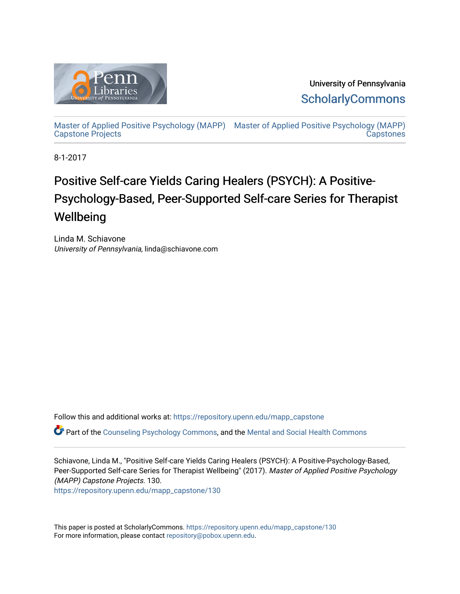

University of Pennsylvania **ScholarlyCommons** 

[Master of Applied Positive Psychology \(MAPP\)](https://repository.upenn.edu/mapp_capstone) [Master of Applied Positive Psychology \(MAPP\)](https://repository.upenn.edu/mapp_capstones)  [Capstone Projects](https://repository.upenn.edu/mapp_capstone)  **Capstones** 

8-1-2017

# Positive Self-care Yields Caring Healers (PSYCH): A Positive-Psychology-Based, Peer-Supported Self-care Series for Therapist Wellbeing

Linda M. Schiavone University of Pennsylvania, linda@schiavone.com

Follow this and additional works at: [https://repository.upenn.edu/mapp\\_capstone](https://repository.upenn.edu/mapp_capstone?utm_source=repository.upenn.edu%2Fmapp_capstone%2F130&utm_medium=PDF&utm_campaign=PDFCoverPages) 

Part of the [Counseling Psychology Commons](http://network.bepress.com/hgg/discipline/1044?utm_source=repository.upenn.edu%2Fmapp_capstone%2F130&utm_medium=PDF&utm_campaign=PDFCoverPages), and the [Mental and Social Health Commons](http://network.bepress.com/hgg/discipline/709?utm_source=repository.upenn.edu%2Fmapp_capstone%2F130&utm_medium=PDF&utm_campaign=PDFCoverPages) 

Schiavone, Linda M., "Positive Self-care Yields Caring Healers (PSYCH): A Positive-Psychology-Based, Peer-Supported Self-care Series for Therapist Wellbeing" (2017). Master of Applied Positive Psychology (MAPP) Capstone Projects. 130.

[https://repository.upenn.edu/mapp\\_capstone/130](https://repository.upenn.edu/mapp_capstone/130?utm_source=repository.upenn.edu%2Fmapp_capstone%2F130&utm_medium=PDF&utm_campaign=PDFCoverPages) 

This paper is posted at ScholarlyCommons. [https://repository.upenn.edu/mapp\\_capstone/130](https://repository.upenn.edu/mapp_capstone/130)  For more information, please contact [repository@pobox.upenn.edu.](mailto:repository@pobox.upenn.edu)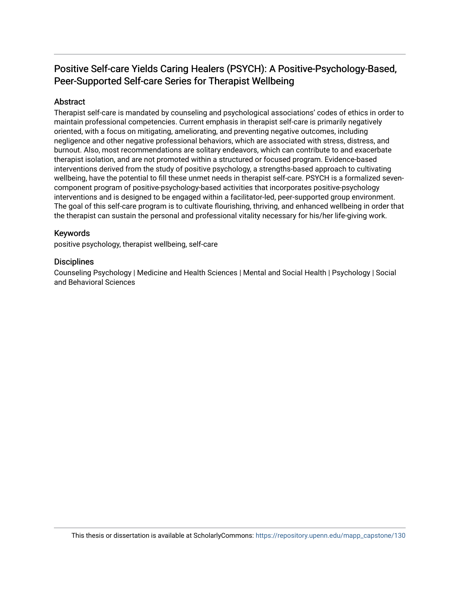# Positive Self-care Yields Caring Healers (PSYCH): A Positive-Psychology-Based, Peer-Supported Self-care Series for Therapist Wellbeing

# Abstract

Therapist self-care is mandated by counseling and psychological associations' codes of ethics in order to maintain professional competencies. Current emphasis in therapist self-care is primarily negatively oriented, with a focus on mitigating, ameliorating, and preventing negative outcomes, including negligence and other negative professional behaviors, which are associated with stress, distress, and burnout. Also, most recommendations are solitary endeavors, which can contribute to and exacerbate therapist isolation, and are not promoted within a structured or focused program. Evidence-based interventions derived from the study of positive psychology, a strengths-based approach to cultivating wellbeing, have the potential to fill these unmet needs in therapist self-care. PSYCH is a formalized sevencomponent program of positive-psychology-based activities that incorporates positive-psychology interventions and is designed to be engaged within a facilitator-led, peer-supported group environment. The goal of this self-care program is to cultivate flourishing, thriving, and enhanced wellbeing in order that the therapist can sustain the personal and professional vitality necessary for his/her life-giving work.

# Keywords

positive psychology, therapist wellbeing, self-care

# **Disciplines**

Counseling Psychology | Medicine and Health Sciences | Mental and Social Health | Psychology | Social and Behavioral Sciences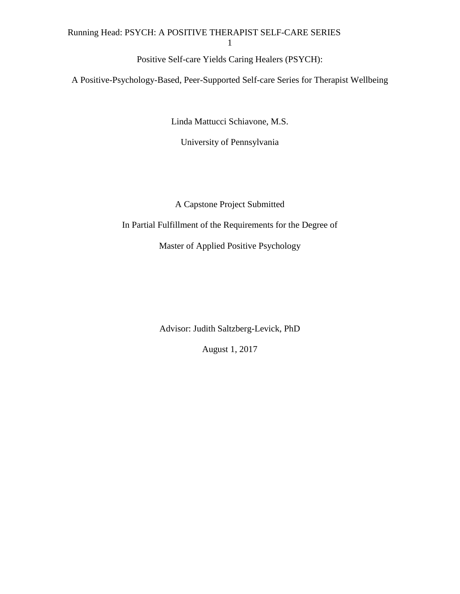# Running Head: PSYCH: A POSITIVE THERAPIST SELF-CARE SERIES

1

Positive Self-care Yields Caring Healers (PSYCH):

A Positive-Psychology-Based, Peer-Supported Self-care Series for Therapist Wellbeing

Linda Mattucci Schiavone, M.S.

University of Pennsylvania

A Capstone Project Submitted

In Partial Fulfillment of the Requirements for the Degree of

Master of Applied Positive Psychology

Advisor: Judith Saltzberg-Levick, PhD

August 1, 2017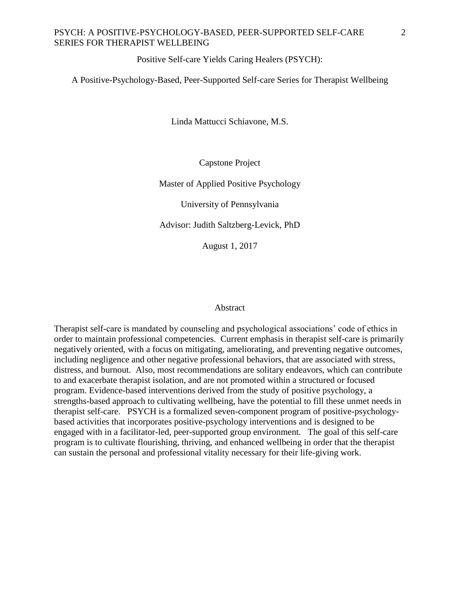Positive Self-care Yields Caring Healers (PSYCH):

A Positive-Psychology-Based, Peer-Supported Self-care Series for Therapist Wellbeing

Linda Mattucci Schiavone, M.S.

Capstone Project

Master of Applied Positive Psychology

University of Pennsylvania

Advisor: Judith Saltzberg-Levick, PhD

August 1, 2017

#### Abstract

Therapist self-care is mandated by counseling and psychological associations' code of ethics in order to maintain professional competencies. Current emphasis in therapist self-care is primarily negatively oriented, with a focus on mitigating, ameliorating, and preventing negative outcomes, including negligence and other negative professional behaviors, that are associated with stress, distress, and burnout. Also, most recommendations are solitary endeavors, which can contribute to and exacerbate therapist isolation, and are not promoted within a structured or focused program. Evidence-based interventions derived from the study of positive psychology, a strengths-based approach to cultivating wellbeing, have the potential to fill these unmet needs in therapist self-care. PSYCH is a formalized seven-component program of positive-psychologybased activities that incorporates positive-psychology interventions and is designed to be engaged with in a facilitator-led, peer-supported group environment. The goal of this self-care program is to cultivate flourishing, thriving, and enhanced wellbeing in order that the therapist can sustain the personal and professional vitality necessary for their life-giving work.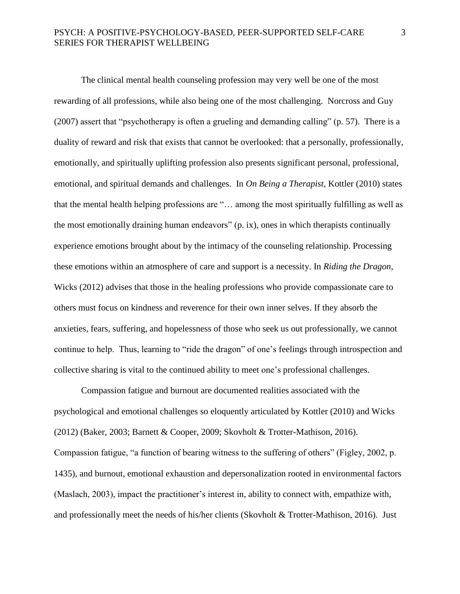The clinical mental health counseling profession may very well be one of the most rewarding of all professions, while also being one of the most challenging. Norcross and Guy (2007) assert that "psychotherapy is often a grueling and demanding calling" (p. 57). There is a duality of reward and risk that exists that cannot be overlooked: that a personally, professionally, emotionally, and spiritually uplifting profession also presents significant personal, professional, emotional, and spiritual demands and challenges. In *On Being a Therapist,* Kottler (2010) states that the mental health helping professions are "… among the most spiritually fulfilling as well as the most emotionally draining human endeavors" (p. ix), ones in which therapists continually experience emotions brought about by the intimacy of the counseling relationship. Processing these emotions within an atmosphere of care and support is a necessity. In *Riding the Dragon*, Wicks (2012) advises that those in the healing professions who provide compassionate care to others must focus on kindness and reverence for their own inner selves. If they absorb the anxieties, fears, suffering, and hopelessness of those who seek us out professionally, we cannot continue to help. Thus, learning to "ride the dragon" of one's feelings through introspection and collective sharing is vital to the continued ability to meet one's professional challenges.

Compassion fatigue and burnout are documented realities associated with the psychological and emotional challenges so eloquently articulated by Kottler (2010) and Wicks (2012) (Baker, 2003; Barnett & Cooper, 2009; Skovholt & Trotter-Mathison, 2016). Compassion fatigue, "a function of bearing witness to the suffering of others" (Figley, 2002, p. 1435), and burnout, emotional exhaustion and depersonalization rooted in environmental factors (Maslach, 2003), impact the practitioner's interest in, ability to connect with, empathize with, and professionally meet the needs of his/her clients (Skovholt & Trotter-Mathison, 2016). Just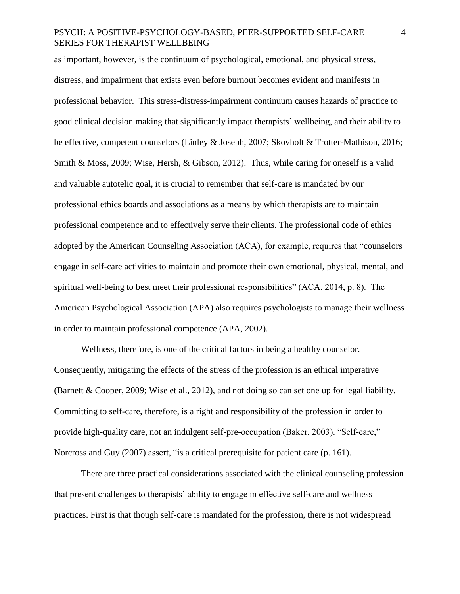as important, however, is the continuum of psychological, emotional, and physical stress, distress, and impairment that exists even before burnout becomes evident and manifests in professional behavior. This stress-distress-impairment continuum causes hazards of practice to good clinical decision making that significantly impact therapists' wellbeing, and their ability to be effective, competent counselors (Linley & Joseph, 2007; Skovholt & Trotter-Mathison, 2016; Smith & Moss, 2009; Wise, Hersh, & Gibson, 2012). Thus, while caring for oneself is a valid and valuable autotelic goal, it is crucial to remember that self-care is mandated by our professional ethics boards and associations as a means by which therapists are to maintain professional competence and to effectively serve their clients. The professional code of ethics adopted by the American Counseling Association (ACA), for example, requires that "counselors engage in self-care activities to maintain and promote their own emotional, physical, mental, and spiritual well-being to best meet their professional responsibilities" (ACA, 2014, p. 8). The American Psychological Association (APA) also requires psychologists to manage their wellness in order to maintain professional competence (APA, 2002).

Wellness, therefore, is one of the critical factors in being a healthy counselor. Consequently, mitigating the effects of the stress of the profession is an ethical imperative (Barnett & Cooper, 2009; Wise et al., 2012), and not doing so can set one up for legal liability. Committing to self-care, therefore, is a right and responsibility of the profession in order to provide high-quality care, not an indulgent self-pre-occupation (Baker, 2003). "Self-care," Norcross and Guy (2007) assert, "is a critical prerequisite for patient care (p. 161).

There are three practical considerations associated with the clinical counseling profession that present challenges to therapists' ability to engage in effective self-care and wellness practices. First is that though self-care is mandated for the profession, there is not widespread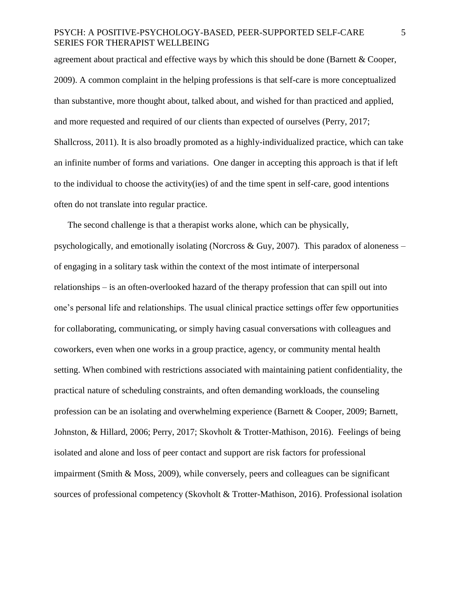agreement about practical and effective ways by which this should be done (Barnett & Cooper, 2009). A common complaint in the helping professions is that self-care is more conceptualized than substantive, more thought about, talked about, and wished for than practiced and applied, and more requested and required of our clients than expected of ourselves (Perry, 2017; Shallcross, 2011). It is also broadly promoted as a highly-individualized practice, which can take an infinite number of forms and variations. One danger in accepting this approach is that if left to the individual to choose the activity(ies) of and the time spent in self-care, good intentions often do not translate into regular practice.

The second challenge is that a therapist works alone, which can be physically, psychologically, and emotionally isolating (Norcross & Guy, 2007). This paradox of aloneness – of engaging in a solitary task within the context of the most intimate of interpersonal relationships – is an often-overlooked hazard of the therapy profession that can spill out into one's personal life and relationships. The usual clinical practice settings offer few opportunities for collaborating, communicating, or simply having casual conversations with colleagues and coworkers, even when one works in a group practice, agency, or community mental health setting. When combined with restrictions associated with maintaining patient confidentiality, the practical nature of scheduling constraints, and often demanding workloads, the counseling profession can be an isolating and overwhelming experience (Barnett & Cooper, 2009; Barnett, Johnston, & Hillard, 2006; Perry, 2017; Skovholt & Trotter-Mathison, 2016). Feelings of being isolated and alone and loss of peer contact and support are risk factors for professional impairment (Smith & Moss, 2009), while conversely, peers and colleagues can be significant sources of professional competency (Skovholt & Trotter-Mathison, 2016). Professional isolation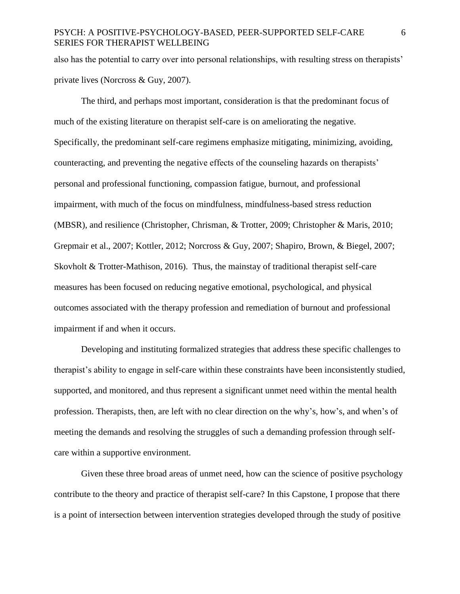also has the potential to carry over into personal relationships, with resulting stress on therapists' private lives (Norcross & Guy, 2007).

The third, and perhaps most important, consideration is that the predominant focus of much of the existing literature on therapist self-care is on ameliorating the negative. Specifically, the predominant self-care regimens emphasize mitigating, minimizing, avoiding, counteracting, and preventing the negative effects of the counseling hazards on therapists' personal and professional functioning, compassion fatigue, burnout, and professional impairment, with much of the focus on mindfulness, mindfulness-based stress reduction (MBSR), and resilience (Christopher, Chrisman, & Trotter, 2009; Christopher & Maris, 2010; Grepmair et al., 2007; Kottler, 2012; Norcross & Guy, 2007; Shapiro, Brown, & Biegel, 2007; Skovholt & Trotter-Mathison, 2016). Thus, the mainstay of traditional therapist self-care measures has been focused on reducing negative emotional, psychological, and physical outcomes associated with the therapy profession and remediation of burnout and professional impairment if and when it occurs.

Developing and instituting formalized strategies that address these specific challenges to therapist's ability to engage in self-care within these constraints have been inconsistently studied, supported, and monitored, and thus represent a significant unmet need within the mental health profession. Therapists, then, are left with no clear direction on the why's, how's, and when's of meeting the demands and resolving the struggles of such a demanding profession through selfcare within a supportive environment.

Given these three broad areas of unmet need, how can the science of positive psychology contribute to the theory and practice of therapist self-care? In this Capstone, I propose that there is a point of intersection between intervention strategies developed through the study of positive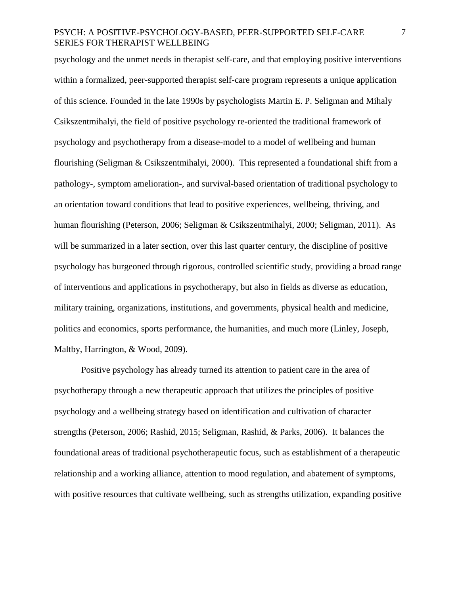psychology and the unmet needs in therapist self-care, and that employing positive interventions within a formalized, peer-supported therapist self-care program represents a unique application of this science. Founded in the late 1990s by psychologists Martin E. P. Seligman and Mihaly Csikszentmihalyi, the field of positive psychology re-oriented the traditional framework of psychology and psychotherapy from a disease-model to a model of wellbeing and human flourishing (Seligman & Csikszentmihalyi, 2000). This represented a foundational shift from a pathology-, symptom amelioration-, and survival-based orientation of traditional psychology to an orientation toward conditions that lead to positive experiences, wellbeing, thriving, and human flourishing (Peterson, 2006; Seligman & Csikszentmihalyi, 2000; Seligman, 2011). As will be summarized in a later section, over this last quarter century, the discipline of positive psychology has burgeoned through rigorous, controlled scientific study, providing a broad range of interventions and applications in psychotherapy, but also in fields as diverse as education, military training, organizations, institutions, and governments, physical health and medicine, politics and economics, sports performance, the humanities, and much more (Linley, Joseph, Maltby, Harrington, & Wood, 2009).

Positive psychology has already turned its attention to patient care in the area of psychotherapy through a new therapeutic approach that utilizes the principles of positive psychology and a wellbeing strategy based on identification and cultivation of character strengths (Peterson, 2006; Rashid, 2015; Seligman, Rashid, & Parks, 2006). It balances the foundational areas of traditional psychotherapeutic focus, such as establishment of a therapeutic relationship and a working alliance, attention to mood regulation, and abatement of symptoms, with positive resources that cultivate wellbeing, such as strengths utilization, expanding positive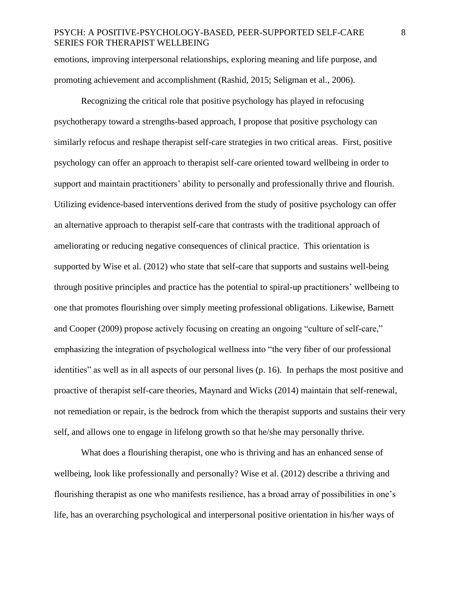emotions, improving interpersonal relationships, exploring meaning and life purpose, and promoting achievement and accomplishment (Rashid, 2015; Seligman et al., 2006).

Recognizing the critical role that positive psychology has played in refocusing psychotherapy toward a strengths-based approach, I propose that positive psychology can similarly refocus and reshape therapist self-care strategies in two critical areas. First, positive psychology can offer an approach to therapist self-care oriented toward wellbeing in order to support and maintain practitioners' ability to personally and professionally thrive and flourish. Utilizing evidence-based interventions derived from the study of positive psychology can offer an alternative approach to therapist self-care that contrasts with the traditional approach of ameliorating or reducing negative consequences of clinical practice. This orientation is supported by Wise et al. (2012) who state that self-care that supports and sustains well-being through positive principles and practice has the potential to spiral-up practitioners' wellbeing to one that promotes flourishing over simply meeting professional obligations. Likewise, Barnett and Cooper (2009) propose actively focusing on creating an ongoing "culture of self-care," emphasizing the integration of psychological wellness into "the very fiber of our professional identities" as well as in all aspects of our personal lives (p. 16). In perhaps the most positive and proactive of therapist self-care theories, Maynard and Wicks (2014) maintain that self-renewal, not remediation or repair, is the bedrock from which the therapist supports and sustains their very self, and allows one to engage in lifelong growth so that he/she may personally thrive.

What does a flourishing therapist, one who is thriving and has an enhanced sense of wellbeing, look like professionally and personally? Wise et al. (2012) describe a thriving and flourishing therapist as one who manifests resilience, has a broad array of possibilities in one's life, has an overarching psychological and interpersonal positive orientation in his/her ways of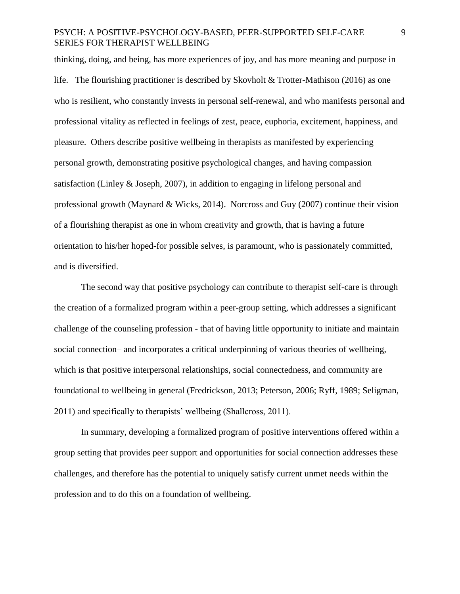thinking, doing, and being, has more experiences of joy, and has more meaning and purpose in life. The flourishing practitioner is described by Skovholt & Trotter-Mathison (2016) as one who is resilient, who constantly invests in personal self-renewal, and who manifests personal and professional vitality as reflected in feelings of zest, peace, euphoria, excitement, happiness, and pleasure. Others describe positive wellbeing in therapists as manifested by experiencing personal growth, demonstrating positive psychological changes, and having compassion satisfaction (Linley & Joseph, 2007), in addition to engaging in lifelong personal and professional growth (Maynard & Wicks, 2014). Norcross and Guy (2007) continue their vision of a flourishing therapist as one in whom creativity and growth, that is having a future orientation to his/her hoped-for possible selves, is paramount, who is passionately committed, and is diversified.

The second way that positive psychology can contribute to therapist self-care is through the creation of a formalized program within a peer-group setting, which addresses a significant challenge of the counseling profession - that of having little opportunity to initiate and maintain social connection– and incorporates a critical underpinning of various theories of wellbeing, which is that positive interpersonal relationships, social connectedness, and community are foundational to wellbeing in general (Fredrickson, 2013; Peterson, 2006; Ryff, 1989; Seligman, 2011) and specifically to therapists' wellbeing (Shallcross, 2011).

In summary, developing a formalized program of positive interventions offered within a group setting that provides peer support and opportunities for social connection addresses these challenges, and therefore has the potential to uniquely satisfy current unmet needs within the profession and to do this on a foundation of wellbeing.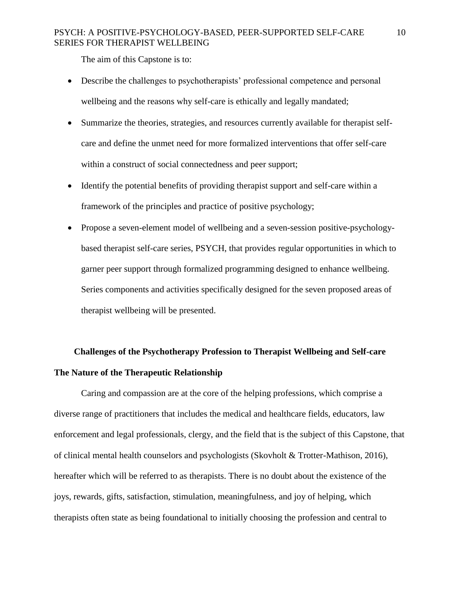The aim of this Capstone is to:

- Describe the challenges to psychotherapists' professional competence and personal wellbeing and the reasons why self-care is ethically and legally mandated;
- Summarize the theories, strategies, and resources currently available for therapist selfcare and define the unmet need for more formalized interventions that offer self-care within a construct of social connectedness and peer support;
- Identify the potential benefits of providing therapist support and self-care within a framework of the principles and practice of positive psychology;
- Propose a seven-element model of wellbeing and a seven-session positive-psychologybased therapist self-care series, PSYCH, that provides regular opportunities in which to garner peer support through formalized programming designed to enhance wellbeing. Series components and activities specifically designed for the seven proposed areas of therapist wellbeing will be presented.

# **Challenges of the Psychotherapy Profession to Therapist Wellbeing and Self-care The Nature of the Therapeutic Relationship**

Caring and compassion are at the core of the helping professions, which comprise a diverse range of practitioners that includes the medical and healthcare fields, educators, law enforcement and legal professionals, clergy, and the field that is the subject of this Capstone, that of clinical mental health counselors and psychologists (Skovholt & Trotter-Mathison, 2016), hereafter which will be referred to as therapists. There is no doubt about the existence of the joys, rewards, gifts, satisfaction, stimulation, meaningfulness, and joy of helping, which therapists often state as being foundational to initially choosing the profession and central to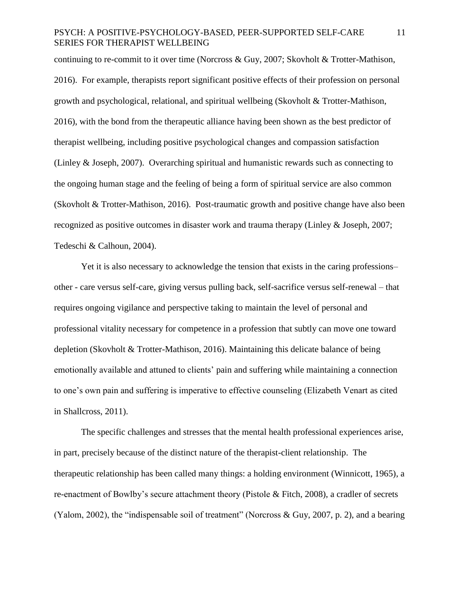continuing to re-commit to it over time (Norcross & Guy, 2007; Skovholt & Trotter-Mathison, 2016). For example, therapists report significant positive effects of their profession on personal growth and psychological, relational, and spiritual wellbeing (Skovholt & Trotter-Mathison, 2016), with the bond from the therapeutic alliance having been shown as the best predictor of therapist wellbeing, including positive psychological changes and compassion satisfaction (Linley  $&$  Joseph, 2007). Overarching spiritual and humanistic rewards such as connecting to the ongoing human stage and the feeling of being a form of spiritual service are also common (Skovholt & Trotter-Mathison, 2016). Post-traumatic growth and positive change have also been recognized as positive outcomes in disaster work and trauma therapy (Linley & Joseph, 2007; Tedeschi & Calhoun, 2004).

Yet it is also necessary to acknowledge the tension that exists in the caring professions– other - care versus self-care, giving versus pulling back, self-sacrifice versus self-renewal – that requires ongoing vigilance and perspective taking to maintain the level of personal and professional vitality necessary for competence in a profession that subtly can move one toward depletion (Skovholt & Trotter-Mathison, 2016). Maintaining this delicate balance of being emotionally available and attuned to clients' pain and suffering while maintaining a connection to one's own pain and suffering is imperative to effective counseling (Elizabeth Venart as cited in Shallcross, 2011).

The specific challenges and stresses that the mental health professional experiences arise, in part, precisely because of the distinct nature of the therapist-client relationship. The therapeutic relationship has been called many things: a holding environment (Winnicott, 1965), a re-enactment of Bowlby's secure attachment theory (Pistole & Fitch, 2008), a cradler of secrets (Yalom, 2002), the "indispensable soil of treatment" (Norcross & Guy, 2007, p. 2), and a bearing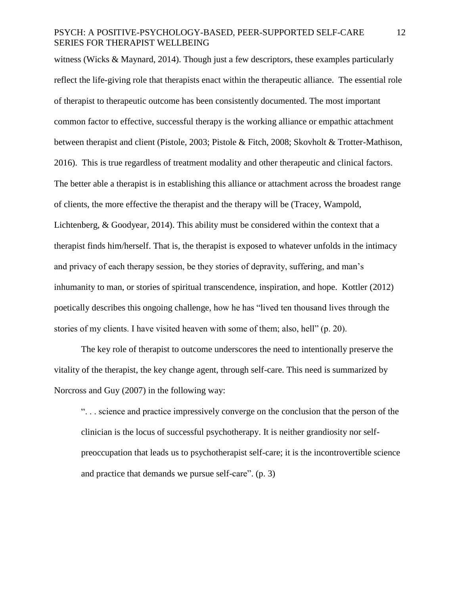witness (Wicks & Maynard, 2014). Though just a few descriptors, these examples particularly reflect the life-giving role that therapists enact within the therapeutic alliance. The essential role of therapist to therapeutic outcome has been consistently documented. The most important common factor to effective, successful therapy is the working alliance or empathic attachment between therapist and client (Pistole, 2003; Pistole & Fitch, 2008; Skovholt & Trotter-Mathison, 2016). This is true regardless of treatment modality and other therapeutic and clinical factors. The better able a therapist is in establishing this alliance or attachment across the broadest range of clients, the more effective the therapist and the therapy will be (Tracey, Wampold, Lichtenberg, & Goodyear, 2014). This ability must be considered within the context that a therapist finds him/herself. That is, the therapist is exposed to whatever unfolds in the intimacy and privacy of each therapy session, be they stories of depravity, suffering, and man's inhumanity to man, or stories of spiritual transcendence, inspiration, and hope. Kottler (2012) poetically describes this ongoing challenge, how he has "lived ten thousand lives through the stories of my clients. I have visited heaven with some of them; also, hell" (p. 20).

The key role of therapist to outcome underscores the need to intentionally preserve the vitality of the therapist, the key change agent, through self-care. This need is summarized by Norcross and Guy (2007) in the following way:

". . . science and practice impressively converge on the conclusion that the person of the clinician is the locus of successful psychotherapy. It is neither grandiosity nor selfpreoccupation that leads us to psychotherapist self-care; it is the incontrovertible science and practice that demands we pursue self-care". (p. 3)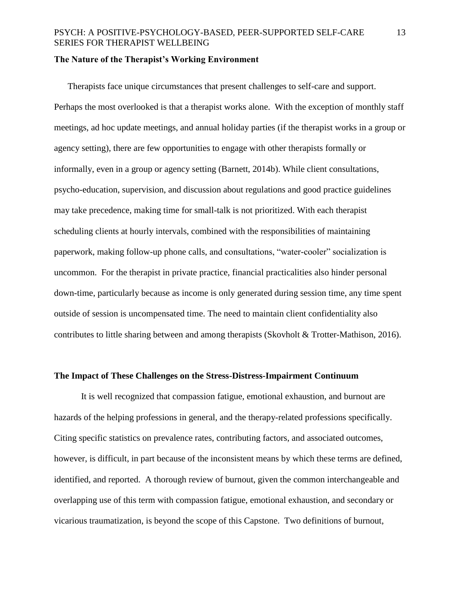## **The Nature of the Therapist's Working Environment**

Therapists face unique circumstances that present challenges to self-care and support. Perhaps the most overlooked is that a therapist works alone. With the exception of monthly staff meetings, ad hoc update meetings, and annual holiday parties (if the therapist works in a group or agency setting), there are few opportunities to engage with other therapists formally or informally, even in a group or agency setting (Barnett, 2014b). While client consultations, psycho-education, supervision, and discussion about regulations and good practice guidelines may take precedence, making time for small-talk is not prioritized. With each therapist scheduling clients at hourly intervals, combined with the responsibilities of maintaining paperwork, making follow-up phone calls, and consultations, "water-cooler" socialization is uncommon. For the therapist in private practice, financial practicalities also hinder personal down-time, particularly because as income is only generated during session time, any time spent outside of session is uncompensated time. The need to maintain client confidentiality also contributes to little sharing between and among therapists (Skovholt & Trotter-Mathison, 2016).

# **The Impact of These Challenges on the Stress-Distress-Impairment Continuum**

It is well recognized that compassion fatigue, emotional exhaustion, and burnout are hazards of the helping professions in general, and the therapy-related professions specifically. Citing specific statistics on prevalence rates, contributing factors, and associated outcomes, however, is difficult, in part because of the inconsistent means by which these terms are defined, identified, and reported. A thorough review of burnout, given the common interchangeable and overlapping use of this term with compassion fatigue, emotional exhaustion, and secondary or vicarious traumatization, is beyond the scope of this Capstone. Two definitions of burnout,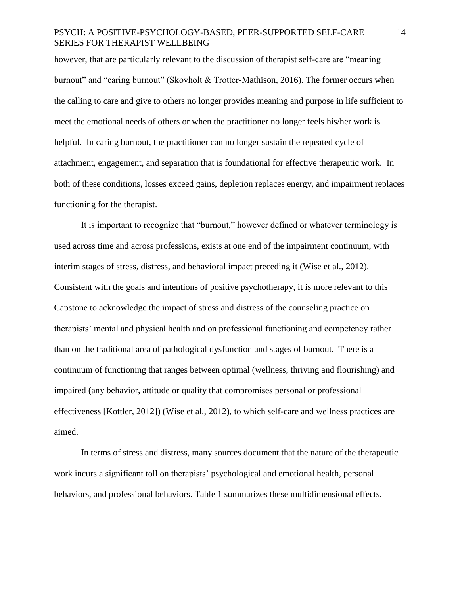however, that are particularly relevant to the discussion of therapist self-care are "meaning burnout" and "caring burnout" (Skovholt & Trotter-Mathison, 2016). The former occurs when the calling to care and give to others no longer provides meaning and purpose in life sufficient to meet the emotional needs of others or when the practitioner no longer feels his/her work is helpful. In caring burnout, the practitioner can no longer sustain the repeated cycle of attachment, engagement, and separation that is foundational for effective therapeutic work. In both of these conditions, losses exceed gains, depletion replaces energy, and impairment replaces functioning for the therapist.

It is important to recognize that "burnout," however defined or whatever terminology is used across time and across professions, exists at one end of the impairment continuum, with interim stages of stress, distress, and behavioral impact preceding it (Wise et al., 2012). Consistent with the goals and intentions of positive psychotherapy, it is more relevant to this Capstone to acknowledge the impact of stress and distress of the counseling practice on therapists' mental and physical health and on professional functioning and competency rather than on the traditional area of pathological dysfunction and stages of burnout. There is a continuum of functioning that ranges between optimal (wellness, thriving and flourishing) and impaired (any behavior, attitude or quality that compromises personal or professional effectiveness [Kottler, 2012]) (Wise et al., 2012), to which self-care and wellness practices are aimed.

In terms of stress and distress, many sources document that the nature of the therapeutic work incurs a significant toll on therapists' psychological and emotional health, personal behaviors, and professional behaviors. Table 1 summarizes these multidimensional effects.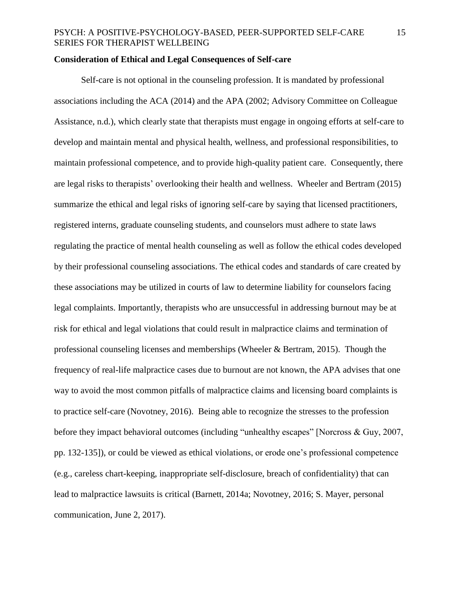# **Consideration of Ethical and Legal Consequences of Self-care**

Self-care is not optional in the counseling profession. It is mandated by professional associations including the ACA (2014) and the APA (2002; Advisory Committee on Colleague Assistance, n.d.), which clearly state that therapists must engage in ongoing efforts at self-care to develop and maintain mental and physical health, wellness, and professional responsibilities, to maintain professional competence, and to provide high-quality patient care. Consequently, there are legal risks to therapists' overlooking their health and wellness. Wheeler and Bertram (2015) summarize the ethical and legal risks of ignoring self-care by saying that licensed practitioners, registered interns, graduate counseling students, and counselors must adhere to state laws regulating the practice of mental health counseling as well as follow the ethical codes developed by their professional counseling associations. The ethical codes and standards of care created by these associations may be utilized in courts of law to determine liability for counselors facing legal complaints. Importantly, therapists who are unsuccessful in addressing burnout may be at risk for ethical and legal violations that could result in malpractice claims and termination of professional counseling licenses and memberships (Wheeler & Bertram, 2015). Though the frequency of real-life malpractice cases due to burnout are not known, the APA advises that one way to avoid the most common pitfalls of malpractice claims and licensing board complaints is to practice self-care (Novotney, 2016). Being able to recognize the stresses to the profession before they impact behavioral outcomes (including "unhealthy escapes" [Norcross & Guy, 2007, pp. 132-135]), or could be viewed as ethical violations, or erode one's professional competence (e.g., careless chart-keeping, inappropriate self-disclosure, breach of confidentiality) that can lead to malpractice lawsuits is critical (Barnett, 2014a; Novotney, 2016; S. Mayer, personal communication, June 2, 2017).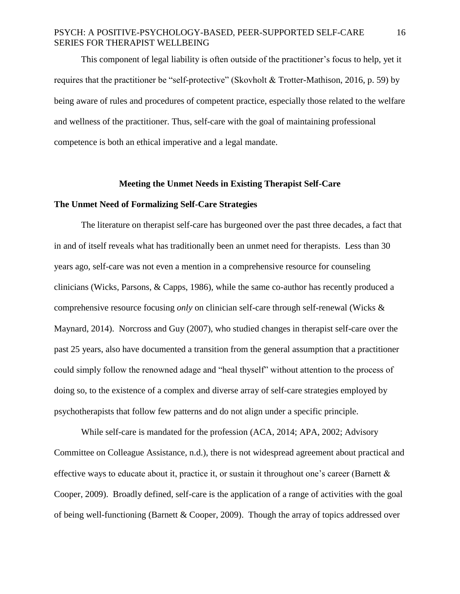This component of legal liability is often outside of the practitioner's focus to help, yet it requires that the practitioner be "self-protective" (Skovholt & Trotter-Mathison, 2016, p. 59) by being aware of rules and procedures of competent practice, especially those related to the welfare and wellness of the practitioner. Thus, self-care with the goal of maintaining professional competence is both an ethical imperative and a legal mandate.

#### **Meeting the Unmet Needs in Existing Therapist Self-Care**

#### **The Unmet Need of Formalizing Self-Care Strategies**

The literature on therapist self-care has burgeoned over the past three decades, a fact that in and of itself reveals what has traditionally been an unmet need for therapists. Less than 30 years ago, self-care was not even a mention in a comprehensive resource for counseling clinicians (Wicks, Parsons, & Capps, 1986), while the same co-author has recently produced a comprehensive resource focusing *only* on clinician self-care through self-renewal (Wicks & Maynard, 2014). Norcross and Guy (2007), who studied changes in therapist self-care over the past 25 years, also have documented a transition from the general assumption that a practitioner could simply follow the renowned adage and "heal thyself" without attention to the process of doing so, to the existence of a complex and diverse array of self-care strategies employed by psychotherapists that follow few patterns and do not align under a specific principle.

While self-care is mandated for the profession (ACA, 2014; APA, 2002; Advisory Committee on Colleague Assistance, n.d.), there is not widespread agreement about practical and effective ways to educate about it, practice it, or sustain it throughout one's career (Barnett  $\&$ Cooper, 2009). Broadly defined, self-care is the application of a range of activities with the goal of being well-functioning (Barnett & Cooper, 2009). Though the array of topics addressed over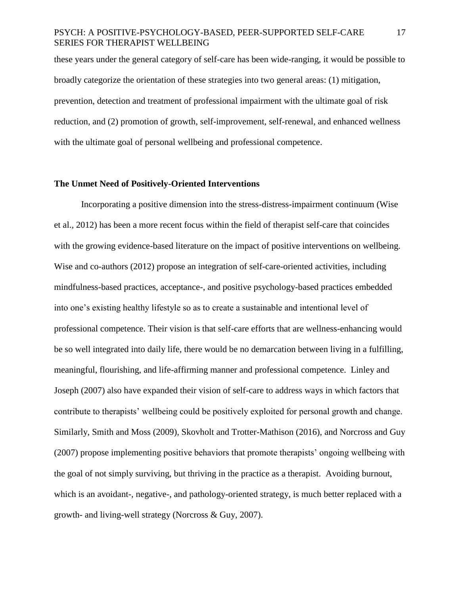these years under the general category of self-care has been wide-ranging, it would be possible to broadly categorize the orientation of these strategies into two general areas: (1) mitigation, prevention, detection and treatment of professional impairment with the ultimate goal of risk reduction, and (2) promotion of growth, self-improvement, self-renewal, and enhanced wellness with the ultimate goal of personal wellbeing and professional competence.

# **The Unmet Need of Positively-Oriented Interventions**

Incorporating a positive dimension into the stress-distress-impairment continuum (Wise et al., 2012) has been a more recent focus within the field of therapist self-care that coincides with the growing evidence-based literature on the impact of positive interventions on wellbeing. Wise and co-authors (2012) propose an integration of self-care-oriented activities, including mindfulness-based practices, acceptance-, and positive psychology-based practices embedded into one's existing healthy lifestyle so as to create a sustainable and intentional level of professional competence. Their vision is that self-care efforts that are wellness-enhancing would be so well integrated into daily life, there would be no demarcation between living in a fulfilling, meaningful, flourishing, and life-affirming manner and professional competence. Linley and Joseph (2007) also have expanded their vision of self-care to address ways in which factors that contribute to therapists' wellbeing could be positively exploited for personal growth and change. Similarly, Smith and Moss (2009), Skovholt and Trotter-Mathison (2016), and Norcross and Guy (2007) propose implementing positive behaviors that promote therapists' ongoing wellbeing with the goal of not simply surviving, but thriving in the practice as a therapist. Avoiding burnout, which is an avoidant-, negative-, and pathology-oriented strategy, is much better replaced with a growth- and living-well strategy (Norcross & Guy, 2007).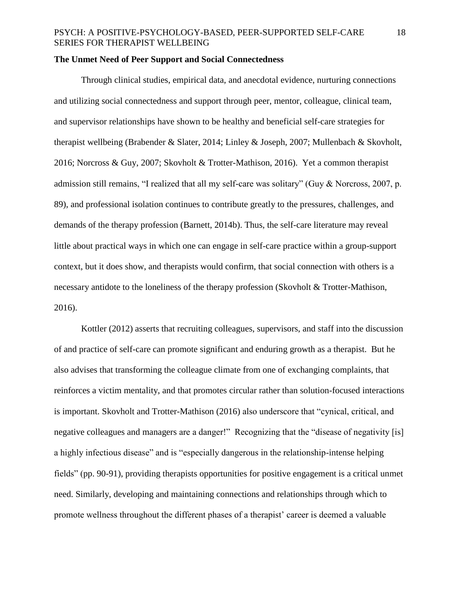# **The Unmet Need of Peer Support and Social Connectedness**

Through clinical studies, empirical data, and anecdotal evidence, nurturing connections and utilizing social connectedness and support through peer, mentor, colleague, clinical team, and supervisor relationships have shown to be healthy and beneficial self-care strategies for therapist wellbeing (Brabender & Slater, 2014; Linley & Joseph, 2007; Mullenbach & Skovholt, 2016; Norcross & Guy, 2007; Skovholt & Trotter-Mathison, 2016). Yet a common therapist admission still remains, "I realized that all my self-care was solitary" (Guy & Norcross, 2007, p. 89), and professional isolation continues to contribute greatly to the pressures, challenges, and demands of the therapy profession (Barnett, 2014b). Thus, the self-care literature may reveal little about practical ways in which one can engage in self-care practice within a group-support context, but it does show, and therapists would confirm, that social connection with others is a necessary antidote to the loneliness of the therapy profession (Skovholt & Trotter-Mathison, 2016).

Kottler (2012) asserts that recruiting colleagues, supervisors, and staff into the discussion of and practice of self-care can promote significant and enduring growth as a therapist. But he also advises that transforming the colleague climate from one of exchanging complaints, that reinforces a victim mentality, and that promotes circular rather than solution-focused interactions is important. Skovholt and Trotter-Mathison (2016) also underscore that "cynical, critical, and negative colleagues and managers are a danger!" Recognizing that the "disease of negativity [is] a highly infectious disease" and is "especially dangerous in the relationship-intense helping fields" (pp. 90-91), providing therapists opportunities for positive engagement is a critical unmet need. Similarly, developing and maintaining connections and relationships through which to promote wellness throughout the different phases of a therapist' career is deemed a valuable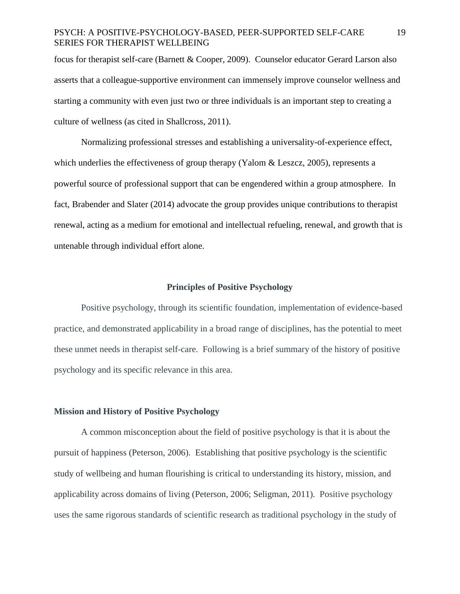focus for therapist self-care (Barnett & Cooper, 2009). Counselor educator Gerard Larson also asserts that a colleague-supportive environment can immensely improve counselor wellness and starting a community with even just two or three individuals is an important step to creating a culture of wellness (as cited in Shallcross, 2011).

Normalizing professional stresses and establishing a universality-of-experience effect, which underlies the effectiveness of group therapy (Yalom & Leszcz, 2005), represents a powerful source of professional support that can be engendered within a group atmosphere. In fact, Brabender and Slater (2014) advocate the group provides unique contributions to therapist renewal, acting as a medium for emotional and intellectual refueling, renewal, and growth that is untenable through individual effort alone.

#### **Principles of Positive Psychology**

Positive psychology, through its scientific foundation, implementation of evidence-based practice, and demonstrated applicability in a broad range of disciplines, has the potential to meet these unmet needs in therapist self-care. Following is a brief summary of the history of positive psychology and its specific relevance in this area.

# **Mission and History of Positive Psychology**

A common misconception about the field of positive psychology is that it is about the pursuit of happiness (Peterson, 2006). Establishing that positive psychology is the scientific study of wellbeing and human flourishing is critical to understanding its history, mission, and applicability across domains of living (Peterson, 2006; Seligman, 2011). Positive psychology uses the same rigorous standards of scientific research as traditional psychology in the study of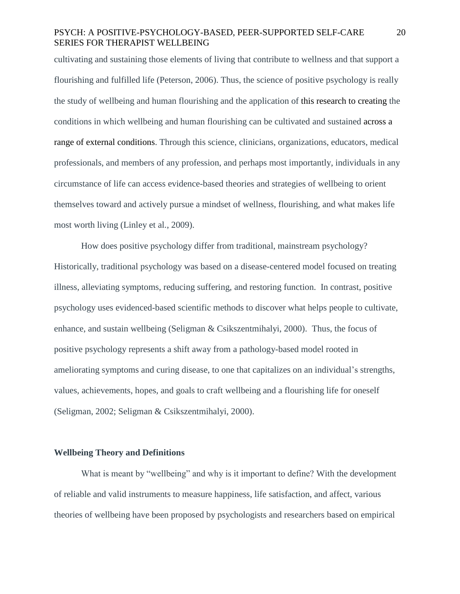cultivating and sustaining those elements of living that contribute to wellness and that support a flourishing and fulfilled life (Peterson, 2006). Thus, the science of positive psychology is really the study of wellbeing and human flourishing and the application of this research to creating the conditions in which wellbeing and human flourishing can be cultivated and sustained across a range of external conditions. Through this science, clinicians, organizations, educators, medical professionals, and members of any profession, and perhaps most importantly, individuals in any circumstance of life can access evidence-based theories and strategies of wellbeing to orient themselves toward and actively pursue a mindset of wellness, flourishing, and what makes life most worth living (Linley et al., 2009).

How does positive psychology differ from traditional, mainstream psychology? Historically, traditional psychology was based on a disease-centered model focused on treating illness, alleviating symptoms, reducing suffering, and restoring function. In contrast, positive psychology uses evidenced-based scientific methods to discover what helps people to cultivate, enhance, and sustain wellbeing (Seligman & Csikszentmihalyi, 2000). Thus, the focus of positive psychology represents a shift away from a pathology-based model rooted in ameliorating symptoms and curing disease, to one that capitalizes on an individual's strengths, values, achievements, hopes, and goals to craft wellbeing and a flourishing life for oneself (Seligman, 2002; Seligman & Csikszentmihalyi, 2000).

# **Wellbeing Theory and Definitions**

What is meant by "wellbeing" and why is it important to define? With the development of reliable and valid instruments to measure happiness, life satisfaction, and affect, various theories of wellbeing have been proposed by psychologists and researchers based on empirical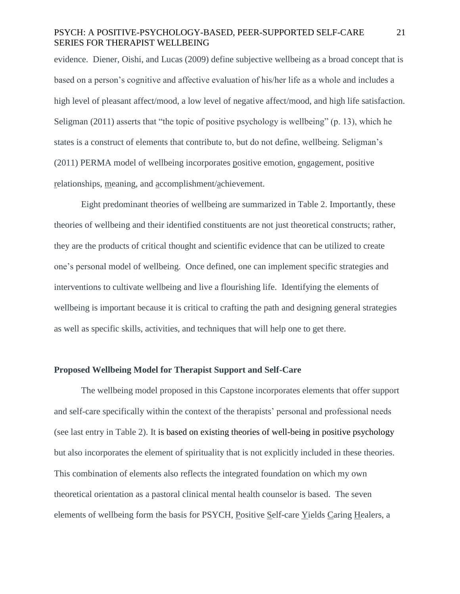evidence. Diener, Oishi, and Lucas (2009) define subjective wellbeing as a broad concept that is based on a person's cognitive and affective evaluation of his/her life as a whole and includes a high level of pleasant affect/mood, a low level of negative affect/mood, and high life satisfaction. Seligman (2011) asserts that "the topic of positive psychology is wellbeing" (p. 13), which he states is a construct of elements that contribute to, but do not define, wellbeing. Seligman's (2011) PERMA model of wellbeing incorporates positive emotion, engagement, positive relationships, meaning, and accomplishment/achievement.

Eight predominant theories of wellbeing are summarized in Table 2. Importantly, these theories of wellbeing and their identified constituents are not just theoretical constructs; rather, they are the products of critical thought and scientific evidence that can be utilized to create one's personal model of wellbeing. Once defined, one can implement specific strategies and interventions to cultivate wellbeing and live a flourishing life. Identifying the elements of wellbeing is important because it is critical to crafting the path and designing general strategies as well as specific skills, activities, and techniques that will help one to get there.

# **Proposed Wellbeing Model for Therapist Support and Self-Care**

The wellbeing model proposed in this Capstone incorporates elements that offer support and self-care specifically within the context of the therapists' personal and professional needs (see last entry in Table 2). It is based on existing theories of well-being in positive psychology but also incorporates the element of spirituality that is not explicitly included in these theories. This combination of elements also reflects the integrated foundation on which my own theoretical orientation as a pastoral clinical mental health counselor is based. The seven elements of wellbeing form the basis for PSYCH, Positive Self-care Yields Caring Healers, a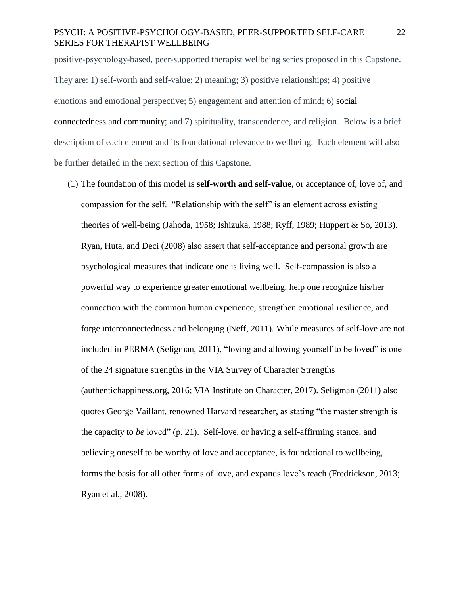positive-psychology-based, peer-supported therapist wellbeing series proposed in this Capstone. They are: 1) self-worth and self-value; 2) meaning; 3) positive relationships; 4) positive emotions and emotional perspective; 5) engagement and attention of mind; 6) social connectedness and community; and 7) spirituality, transcendence, and religion. Below is a brief description of each element and its foundational relevance to wellbeing. Each element will also be further detailed in the next section of this Capstone.

(1) The foundation of this model is **self-worth and self-value**, or acceptance of, love of, and compassion for the self. "Relationship with the self" is an element across existing theories of well-being (Jahoda, 1958; Ishizuka, 1988; Ryff, 1989; Huppert & So, 2013). Ryan, Huta, and Deci (2008) also assert that self-acceptance and personal growth are psychological measures that indicate one is living well. Self-compassion is also a powerful way to experience greater emotional wellbeing, help one recognize his/her connection with the common human experience, strengthen emotional resilience, and forge interconnectedness and belonging (Neff, 2011). While measures of self-love are not included in PERMA (Seligman, 2011), "loving and allowing yourself to be loved" is one of the 24 signature strengths in the VIA Survey of Character Strengths (authentichappiness.org, 2016; VIA Institute on Character, 2017). Seligman (2011) also quotes George Vaillant, renowned Harvard researcher, as stating "the master strength is the capacity to *be* loved" (p. 21). Self-love, or having a self-affirming stance, and believing oneself to be worthy of love and acceptance, is foundational to wellbeing, forms the basis for all other forms of love, and expands love's reach (Fredrickson, 2013; Ryan et al., 2008).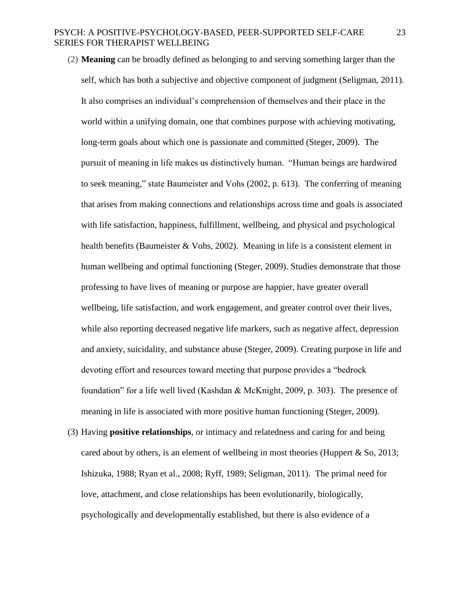- (2) **Meaning** can be broadly defined as belonging to and serving something larger than the self, which has both a subjective and objective component of judgment (Seligman, 2011). It also comprises an individual's comprehension of themselves and their place in the world within a unifying domain, one that combines purpose with achieving motivating, long-term goals about which one is passionate and committed (Steger, 2009). The pursuit of meaning in life makes us distinctively human. "Human beings are hardwired to seek meaning," state Baumeister and Vohs (2002, p. 613). The conferring of meaning that arises from making connections and relationships across time and goals is associated with life satisfaction, happiness, fulfillment, wellbeing, and physical and psychological health benefits (Baumeister & Vohs, 2002). Meaning in life is a consistent element in human wellbeing and optimal functioning (Steger, 2009). Studies demonstrate that those professing to have lives of meaning or purpose are happier, have greater overall wellbeing, life satisfaction, and work engagement, and greater control over their lives, while also reporting decreased negative life markers, such as negative affect, depression and anxiety, suicidality, and substance abuse (Steger, 2009). Creating purpose in life and devoting effort and resources toward meeting that purpose provides a "bedrock foundation" for a life well lived (Kashdan & McKnight, 2009, p. 303). The presence of meaning in life is associated with more positive human functioning (Steger, 2009).
- (3) Having **positive relationships**, or intimacy and relatedness and caring for and being cared about by others, is an element of wellbeing in most theories (Huppert  $\&$  So, 2013; Ishizuka, 1988; Ryan et al., 2008; Ryff, 1989; Seligman, 2011). The primal need for love, attachment, and close relationships has been evolutionarily, biologically, psychologically and developmentally established, but there is also evidence of a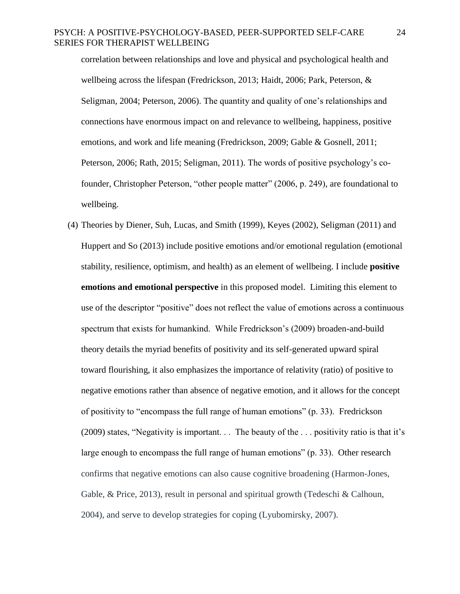correlation between relationships and love and physical and psychological health and wellbeing across the lifespan (Fredrickson, 2013; Haidt, 2006; Park, Peterson, & Seligman, 2004; Peterson, 2006). The quantity and quality of one's relationships and connections have enormous impact on and relevance to wellbeing, happiness, positive emotions, and work and life meaning (Fredrickson, 2009; Gable & Gosnell, 2011; Peterson, 2006; Rath, 2015; Seligman, 2011). The words of positive psychology's cofounder, Christopher Peterson, "other people matter" (2006, p. 249), are foundational to wellbeing.

(4) Theories by Diener, Suh, Lucas, and Smith (1999), Keyes (2002), Seligman (2011) and Huppert and So (2013) include positive emotions and/or emotional regulation (emotional stability, resilience, optimism, and health) as an element of wellbeing. I include **positive emotions and emotional perspective** in this proposed model. Limiting this element to use of the descriptor "positive" does not reflect the value of emotions across a continuous spectrum that exists for humankind. While Fredrickson's (2009) broaden-and-build theory details the myriad benefits of positivity and its self-generated upward spiral toward flourishing, it also emphasizes the importance of relativity (ratio) of positive to negative emotions rather than absence of negative emotion, and it allows for the concept of positivity to "encompass the full range of human emotions" (p. 33). Fredrickson (2009) states, "Negativity is important. . . The beauty of the . . . positivity ratio is that it's large enough to encompass the full range of human emotions" (p. 33). Other research confirms that negative emotions can also cause cognitive broadening (Harmon-Jones, Gable,  $\&$  Price, 2013), result in personal and spiritual growth (Tedeschi  $\&$  Calhoun, 2004), and serve to develop strategies for coping (Lyubomirsky, 2007).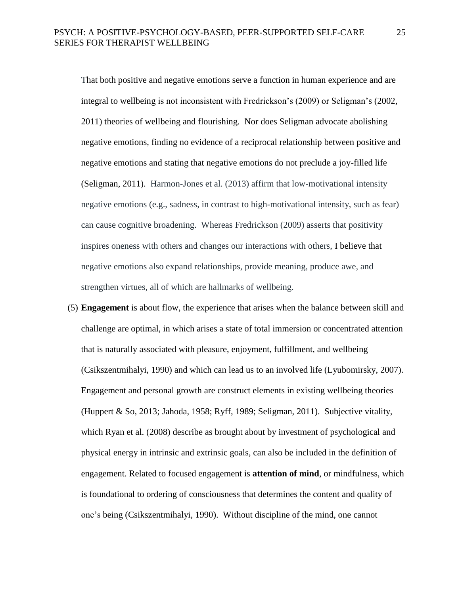That both positive and negative emotions serve a function in human experience and are integral to wellbeing is not inconsistent with Fredrickson's (2009) or Seligman's (2002, 2011) theories of wellbeing and flourishing. Nor does Seligman advocate abolishing negative emotions, finding no evidence of a reciprocal relationship between positive and negative emotions and stating that negative emotions do not preclude a joy-filled life (Seligman, 2011). Harmon-Jones et al. (2013) affirm that low-motivational intensity negative emotions (e.g., sadness, in contrast to high-motivational intensity, such as fear) can cause cognitive broadening. Whereas Fredrickson (2009) asserts that positivity inspires oneness with others and changes our interactions with others, I believe that negative emotions also expand relationships, provide meaning, produce awe, and strengthen virtues, all of which are hallmarks of wellbeing.

(5) **Engagement** is about flow, the experience that arises when the balance between skill and challenge are optimal, in which arises a state of total immersion or concentrated attention that is naturally associated with pleasure, enjoyment, fulfillment, and wellbeing (Csikszentmihalyi, 1990) and which can lead us to an involved life (Lyubomirsky, 2007). Engagement and personal growth are construct elements in existing wellbeing theories (Huppert & So, 2013; Jahoda, 1958; Ryff, 1989; Seligman, 2011). Subjective vitality, which Ryan et al. (2008) describe as brought about by investment of psychological and physical energy in intrinsic and extrinsic goals, can also be included in the definition of engagement. Related to focused engagement is **attention of mind**, or mindfulness, which is foundational to ordering of consciousness that determines the content and quality of one's being (Csikszentmihalyi, 1990). Without discipline of the mind, one cannot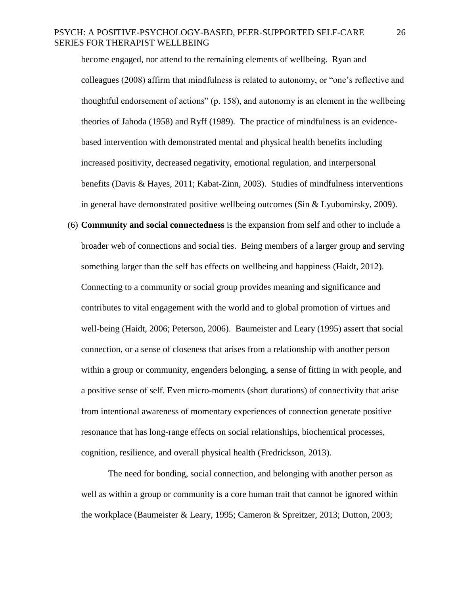become engaged, nor attend to the remaining elements of wellbeing. Ryan and colleagues (2008) affirm that mindfulness is related to autonomy, or "one's reflective and thoughtful endorsement of actions" (p. 158), and autonomy is an element in the wellbeing theories of Jahoda (1958) and Ryff (1989). The practice of mindfulness is an evidencebased intervention with demonstrated mental and physical health benefits including increased positivity, decreased negativity, emotional regulation, and interpersonal benefits (Davis & Hayes, 2011; Kabat-Zinn, 2003). Studies of mindfulness interventions in general have demonstrated positive wellbeing outcomes (Sin & Lyubomirsky, 2009).

(6) **Community and social connectedness** is the expansion from self and other to include a broader web of connections and social ties. Being members of a larger group and serving something larger than the self has effects on wellbeing and happiness (Haidt, 2012). Connecting to a community or social group provides meaning and significance and contributes to vital engagement with the world and to global promotion of virtues and well-being (Haidt, 2006; Peterson, 2006). Baumeister and Leary (1995) assert that social connection, or a sense of closeness that arises from a relationship with another person within a group or community, engenders belonging, a sense of fitting in with people, and a positive sense of self. Even micro-moments (short durations) of connectivity that arise from intentional awareness of momentary experiences of connection generate positive resonance that has long-range effects on social relationships, biochemical processes, cognition, resilience, and overall physical health (Fredrickson, 2013).

The need for bonding, social connection, and belonging with another person as well as within a group or community is a core human trait that cannot be ignored within the workplace (Baumeister & Leary, 1995; Cameron & Spreitzer, 2013; Dutton, 2003;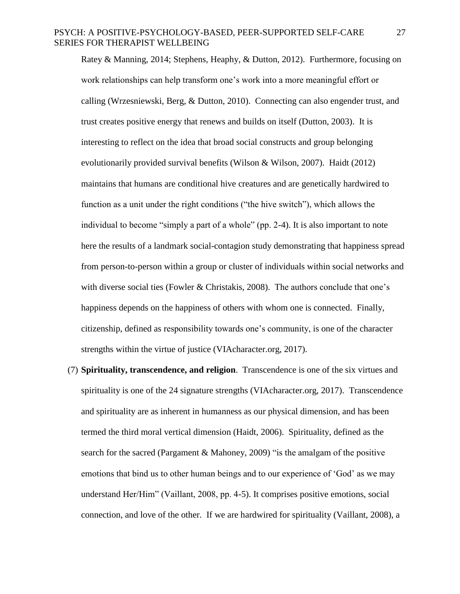Ratey & Manning, 2014; Stephens, Heaphy, & Dutton, 2012). Furthermore, focusing on work relationships can help transform one's work into a more meaningful effort or calling (Wrzesniewski, Berg, & Dutton, 2010). Connecting can also engender trust, and trust creates positive energy that renews and builds on itself (Dutton, 2003). It is interesting to reflect on the idea that broad social constructs and group belonging evolutionarily provided survival benefits (Wilson & Wilson, 2007). Haidt (2012) maintains that humans are conditional hive creatures and are genetically hardwired to function as a unit under the right conditions ("the hive switch"), which allows the individual to become "simply a part of a whole" (pp. 2-4). It is also important to note here the results of a landmark social-contagion study demonstrating that happiness spread from person-to-person within a group or cluster of individuals within social networks and with diverse social ties (Fowler & Christakis, 2008). The authors conclude that one's happiness depends on the happiness of others with whom one is connected. Finally, citizenship, defined as responsibility towards one's community, is one of the character strengths within the virtue of justice (VIAcharacter.org, 2017).

(7) **Spirituality, transcendence, and religion**. Transcendence is one of the six virtues and spirituality is one of the 24 signature strengths (VIAcharacter.org, 2017). Transcendence and spirituality are as inherent in humanness as our physical dimension, and has been termed the third moral vertical dimension (Haidt, 2006). Spirituality, defined as the search for the sacred (Pargament & Mahoney, 2009) "is the amalgam of the positive emotions that bind us to other human beings and to our experience of 'God' as we may understand Her/Him" (Vaillant, 2008, pp. 4-5). It comprises positive emotions, social connection, and love of the other. If we are hardwired for spirituality (Vaillant, 2008), a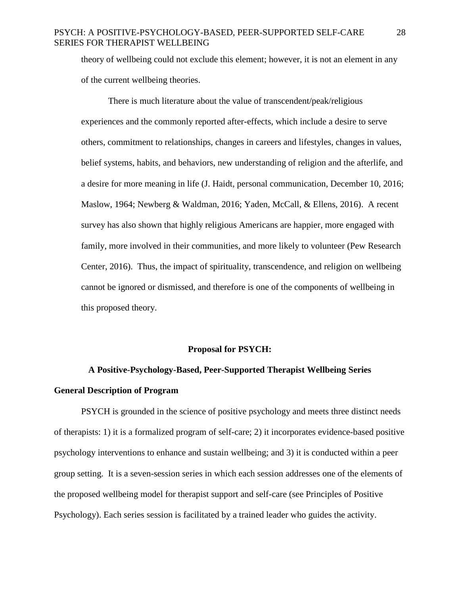theory of wellbeing could not exclude this element; however, it is not an element in any of the current wellbeing theories.

There is much literature about the value of transcendent/peak/religious experiences and the commonly reported after-effects, which include a desire to serve others, commitment to relationships, changes in careers and lifestyles, changes in values, belief systems, habits, and behaviors, new understanding of religion and the afterlife, and a desire for more meaning in life (J. Haidt, personal communication, December 10, 2016; Maslow, 1964; Newberg & Waldman, 2016; Yaden, McCall, & Ellens, 2016). A recent survey has also shown that highly religious Americans are happier, more engaged with family, more involved in their communities, and more likely to volunteer (Pew Research Center, 2016). Thus, the impact of spirituality, transcendence, and religion on wellbeing cannot be ignored or dismissed, and therefore is one of the components of wellbeing in this proposed theory.

#### **Proposal for PSYCH:**

# **A Positive-Psychology-Based, Peer-Supported Therapist Wellbeing Series General Description of Program**

PSYCH is grounded in the science of positive psychology and meets three distinct needs of therapists: 1) it is a formalized program of self-care; 2) it incorporates evidence-based positive psychology interventions to enhance and sustain wellbeing; and 3) it is conducted within a peer group setting. It is a seven-session series in which each session addresses one of the elements of the proposed wellbeing model for therapist support and self-care (see Principles of Positive Psychology). Each series session is facilitated by a trained leader who guides the activity.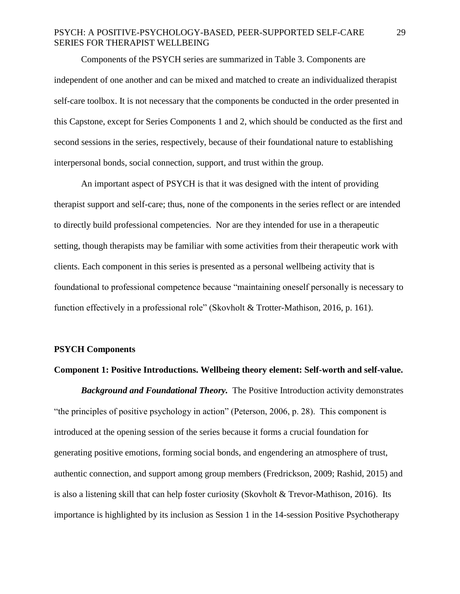Components of the PSYCH series are summarized in Table 3. Components are independent of one another and can be mixed and matched to create an individualized therapist self-care toolbox. It is not necessary that the components be conducted in the order presented in this Capstone, except for Series Components 1 and 2, which should be conducted as the first and second sessions in the series, respectively, because of their foundational nature to establishing interpersonal bonds, social connection, support, and trust within the group.

An important aspect of PSYCH is that it was designed with the intent of providing therapist support and self-care; thus, none of the components in the series reflect or are intended to directly build professional competencies. Nor are they intended for use in a therapeutic setting, though therapists may be familiar with some activities from their therapeutic work with clients. Each component in this series is presented as a personal wellbeing activity that is foundational to professional competence because "maintaining oneself personally is necessary to function effectively in a professional role" (Skovholt & Trotter-Mathison, 2016, p. 161).

#### **PSYCH Components**

#### **Component 1: Positive Introductions. Wellbeing theory element: Self-worth and self-value.**

*Background and Foundational Theory.* The Positive Introduction activity demonstrates "the principles of positive psychology in action" (Peterson, 2006, p. 28). This component is introduced at the opening session of the series because it forms a crucial foundation for generating positive emotions, forming social bonds, and engendering an atmosphere of trust, authentic connection, and support among group members (Fredrickson, 2009; Rashid, 2015) and is also a listening skill that can help foster curiosity (Skovholt & Trevor-Mathison, 2016). Its importance is highlighted by its inclusion as Session 1 in the 14-session Positive Psychotherapy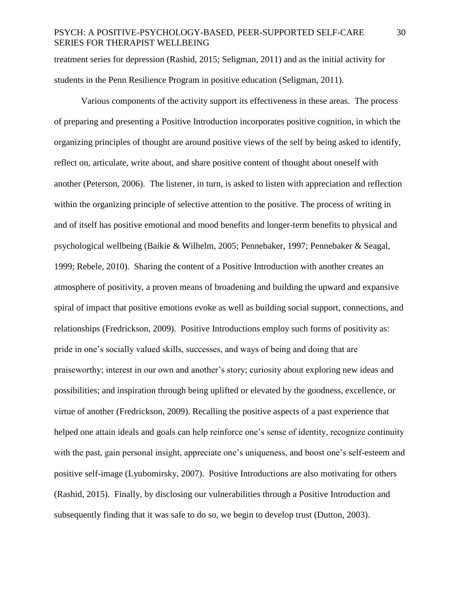treatment series for depression (Rashid, 2015; Seligman, 2011) and as the initial activity for students in the Penn Resilience Program in positive education (Seligman, 2011).

Various components of the activity support its effectiveness in these areas. The process of preparing and presenting a Positive Introduction incorporates positive cognition, in which the organizing principles of thought are around positive views of the self by being asked to identify, reflect on, articulate, write about, and share positive content of thought about oneself with another (Peterson, 2006). The listener, in turn, is asked to listen with appreciation and reflection within the organizing principle of selective attention to the positive. The process of writing in and of itself has positive emotional and mood benefits and longer-term benefits to physical and psychological wellbeing (Baikie & Wilhelm, 2005; Pennebaker, 1997; Pennebaker & Seagal, 1999; Rebele, 2010). Sharing the content of a Positive Introduction with another creates an atmosphere of positivity, a proven means of broadening and building the upward and expansive spiral of impact that positive emotions evoke as well as building social support, connections, and relationships (Fredrickson, 2009). Positive Introductions employ such forms of positivity as: pride in one's socially valued skills, successes, and ways of being and doing that are praiseworthy; interest in our own and another's story; curiosity about exploring new ideas and possibilities; and inspiration through being uplifted or elevated by the goodness, excellence, or virtue of another (Fredrickson, 2009). Recalling the positive aspects of a past experience that helped one attain ideals and goals can help reinforce one's sense of identity, recognize continuity with the past, gain personal insight, appreciate one's uniqueness, and boost one's self-esteem and positive self-image (Lyubomirsky, 2007). Positive Introductions are also motivating for others (Rashid, 2015). Finally, by disclosing our vulnerabilities through a Positive Introduction and subsequently finding that it was safe to do so, we begin to develop trust (Dutton, 2003).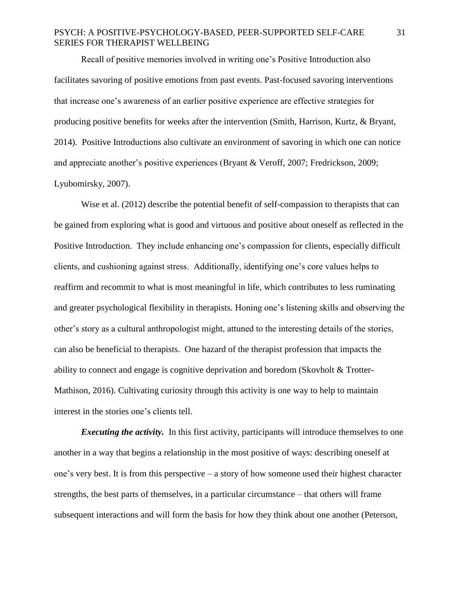Recall of positive memories involved in writing one's Positive Introduction also facilitates savoring of positive emotions from past events. Past-focused savoring interventions that increase one's awareness of an earlier positive experience are effective strategies for producing positive benefits for weeks after the intervention (Smith, Harrison, Kurtz, & Bryant, 2014). Positive Introductions also cultivate an environment of savoring in which one can notice and appreciate another's positive experiences (Bryant & Veroff, 2007; Fredrickson, 2009; Lyubomirsky, 2007).

Wise et al. (2012) describe the potential benefit of self-compassion to therapists that can be gained from exploring what is good and virtuous and positive about oneself as reflected in the Positive Introduction. They include enhancing one's compassion for clients, especially difficult clients, and cushioning against stress. Additionally, identifying one's core values helps to reaffirm and recommit to what is most meaningful in life, which contributes to less ruminating and greater psychological flexibility in therapists. Honing one's listening skills and observing the other's story as a cultural anthropologist might, attuned to the interesting details of the stories, can also be beneficial to therapists. One hazard of the therapist profession that impacts the ability to connect and engage is cognitive deprivation and boredom (Skovholt & Trotter-Mathison, 2016). Cultivating curiosity through this activity is one way to help to maintain interest in the stories one's clients tell.

*Executing the activity.* In this first activity, participants will introduce themselves to one another in a way that begins a relationship in the most positive of ways: describing oneself at one's very best. It is from this perspective – a story of how someone used their highest character strengths, the best parts of themselves, in a particular circumstance – that others will frame subsequent interactions and will form the basis for how they think about one another (Peterson,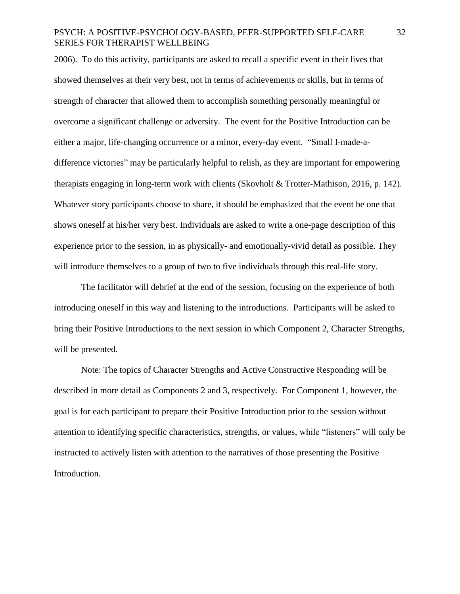2006). To do this activity, participants are asked to recall a specific event in their lives that showed themselves at their very best, not in terms of achievements or skills, but in terms of strength of character that allowed them to accomplish something personally meaningful or overcome a significant challenge or adversity. The event for the Positive Introduction can be either a major, life-changing occurrence or a minor, every-day event. "Small I-made-adifference victories" may be particularly helpful to relish, as they are important for empowering therapists engaging in long-term work with clients (Skovholt & Trotter-Mathison, 2016, p. 142). Whatever story participants choose to share, it should be emphasized that the event be one that shows oneself at his/her very best. Individuals are asked to write a one-page description of this experience prior to the session, in as physically- and emotionally-vivid detail as possible. They will introduce themselves to a group of two to five individuals through this real-life story.

The facilitator will debrief at the end of the session, focusing on the experience of both introducing oneself in this way and listening to the introductions. Participants will be asked to bring their Positive Introductions to the next session in which Component 2, Character Strengths, will be presented.

Note: The topics of Character Strengths and Active Constructive Responding will be described in more detail as Components 2 and 3, respectively. For Component 1, however, the goal is for each participant to prepare their Positive Introduction prior to the session without attention to identifying specific characteristics, strengths, or values, while "listeners" will only be instructed to actively listen with attention to the narratives of those presenting the Positive Introduction.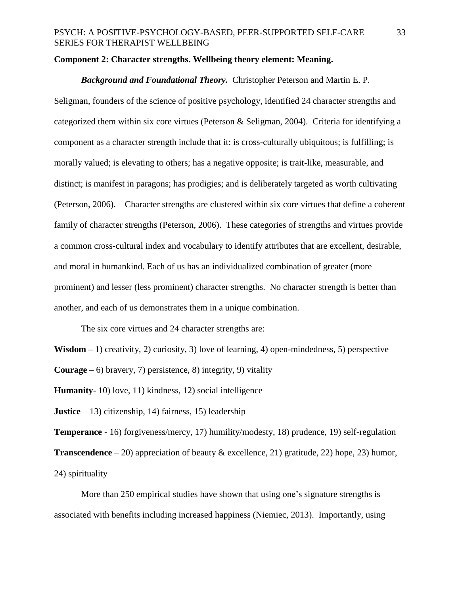# **Component 2: Character strengths. Wellbeing theory element: Meaning.**

# *Background and Foundational Theory.* Christopher Peterson and Martin E. P.

Seligman, founders of the science of positive psychology, identified 24 character strengths and categorized them within six core virtues (Peterson & Seligman, 2004). Criteria for identifying a component as a character strength include that it: is cross-culturally ubiquitous; is fulfilling; is morally valued; is elevating to others; has a negative opposite; is trait-like, measurable, and distinct; is manifest in paragons; has prodigies; and is deliberately targeted as worth cultivating (Peterson, 2006). Character strengths are clustered within six core virtues that define a coherent family of character strengths (Peterson, 2006). These categories of strengths and virtues provide a common cross-cultural index and vocabulary to identify attributes that are excellent, desirable, and moral in humankind. Each of us has an individualized combination of greater (more prominent) and lesser (less prominent) character strengths. No character strength is better than another, and each of us demonstrates them in a unique combination.

The six core virtues and 24 character strengths are:

**Wisdom –** 1) creativity, 2) curiosity, 3) love of learning, 4) open-mindedness, 5) perspective

**Courage**  $-6$ ) bravery, 7) persistence, 8) integrity, 9) vitality

**Humanity**- 10) love, 11) kindness, 12) social intelligence

**Justice** – 13) citizenship, 14) fairness, 15) leadership

**Temperance** - 16) forgiveness/mercy, 17) humility/modesty, 18) prudence, 19) self-regulation **Transcendence** – 20) appreciation of beauty & excellence, 21) gratitude, 22) hope, 23) humor, 24) spirituality

More than 250 empirical studies have shown that using one's signature strengths is associated with benefits including increased happiness (Niemiec, 2013). Importantly, using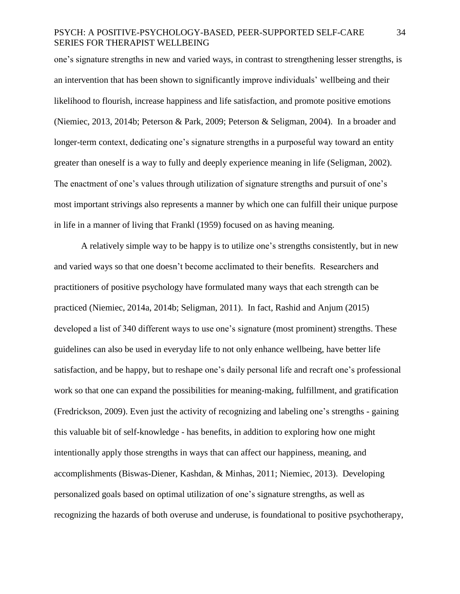one's signature strengths in new and varied ways, in contrast to strengthening lesser strengths, is an intervention that has been shown to significantly improve individuals' wellbeing and their likelihood to flourish, increase happiness and life satisfaction, and promote positive emotions (Niemiec, 2013, 2014b; Peterson & Park, 2009; Peterson & Seligman, 2004). In a broader and longer-term context, dedicating one's signature strengths in a purposeful way toward an entity greater than oneself is a way to fully and deeply experience meaning in life (Seligman, 2002). The enactment of one's values through utilization of signature strengths and pursuit of one's most important strivings also represents a manner by which one can fulfill their unique purpose in life in a manner of living that Frankl (1959) focused on as having meaning.

A relatively simple way to be happy is to utilize one's strengths consistently, but in new and varied ways so that one doesn't become acclimated to their benefits. Researchers and practitioners of positive psychology have formulated many ways that each strength can be practiced (Niemiec, 2014a, 2014b; Seligman, 2011). In fact, Rashid and Anjum (2015) developed a list of 340 different ways to use one's signature (most prominent) strengths. These guidelines can also be used in everyday life to not only enhance wellbeing, have better life satisfaction, and be happy, but to reshape one's daily personal life and recraft one's professional work so that one can expand the possibilities for meaning-making, fulfillment, and gratification (Fredrickson, 2009). Even just the activity of recognizing and labeling one's strengths - gaining this valuable bit of self-knowledge - has benefits, in addition to exploring how one might intentionally apply those strengths in ways that can affect our happiness, meaning, and accomplishments (Biswas-Diener, Kashdan, & Minhas, 2011; Niemiec, 2013). Developing personalized goals based on optimal utilization of one's signature strengths, as well as recognizing the hazards of both overuse and underuse, is foundational to positive psychotherapy,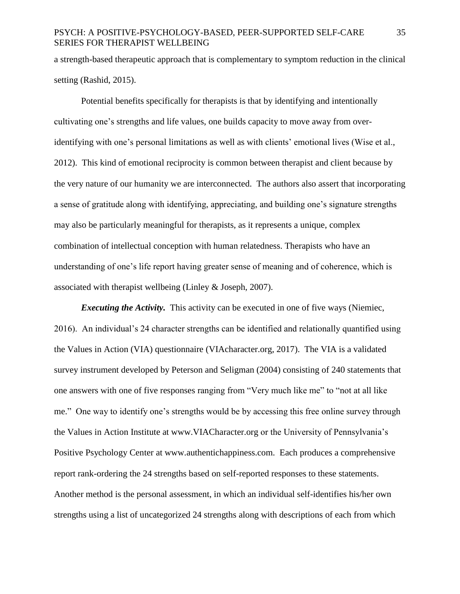a strength-based therapeutic approach that is complementary to symptom reduction in the clinical setting (Rashid, 2015).

Potential benefits specifically for therapists is that by identifying and intentionally cultivating one's strengths and life values, one builds capacity to move away from overidentifying with one's personal limitations as well as with clients' emotional lives (Wise et al., 2012). This kind of emotional reciprocity is common between therapist and client because by the very nature of our humanity we are interconnected. The authors also assert that incorporating a sense of gratitude along with identifying, appreciating, and building one's signature strengths may also be particularly meaningful for therapists, as it represents a unique, complex combination of intellectual conception with human relatedness. Therapists who have an understanding of one's life report having greater sense of meaning and of coherence, which is associated with therapist wellbeing (Linley & Joseph, 2007).

*Executing the Activity.* This activity can be executed in one of five ways (Niemiec, 2016). An individual's 24 character strengths can be identified and relationally quantified using the Values in Action (VIA) questionnaire (VIAcharacter.org, 2017). The VIA is a validated survey instrument developed by Peterson and Seligman (2004) consisting of 240 statements that one answers with one of five responses ranging from "Very much like me" to "not at all like me." One way to identify one's strengths would be by accessing this free online survey through the Values in Action Institute at www.VIACharacter.org or the University of Pennsylvania's Positive Psychology Center at www.authentichappiness.com. Each produces a comprehensive report rank-ordering the 24 strengths based on self-reported responses to these statements. Another method is the personal assessment, in which an individual self-identifies his/her own strengths using a list of uncategorized 24 strengths along with descriptions of each from which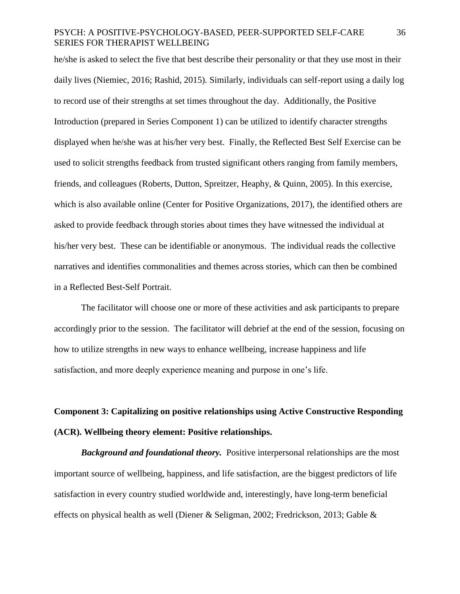he/she is asked to select the five that best describe their personality or that they use most in their daily lives (Niemiec, 2016; Rashid, 2015). Similarly, individuals can self-report using a daily log to record use of their strengths at set times throughout the day. Additionally, the Positive Introduction (prepared in Series Component 1) can be utilized to identify character strengths displayed when he/she was at his/her very best. Finally, the Reflected Best Self Exercise can be used to solicit strengths feedback from trusted significant others ranging from family members, friends, and colleagues (Roberts, Dutton, Spreitzer, Heaphy, & Quinn, 2005). In this exercise, which is also available online (Center for Positive Organizations, 2017), the identified others are asked to provide feedback through stories about times they have witnessed the individual at his/her very best. These can be identifiable or anonymous. The individual reads the collective narratives and identifies commonalities and themes across stories, which can then be combined in a Reflected Best-Self Portrait.

The facilitator will choose one or more of these activities and ask participants to prepare accordingly prior to the session. The facilitator will debrief at the end of the session, focusing on how to utilize strengths in new ways to enhance wellbeing, increase happiness and life satisfaction, and more deeply experience meaning and purpose in one's life.

# **Component 3: Capitalizing on positive relationships using Active Constructive Responding (ACR). Wellbeing theory element: Positive relationships.**

*Background and foundational theory.* Positive interpersonal relationships are the most important source of wellbeing, happiness, and life satisfaction, are the biggest predictors of life satisfaction in every country studied worldwide and, interestingly, have long-term beneficial effects on physical health as well (Diener & Seligman, 2002; Fredrickson, 2013; Gable &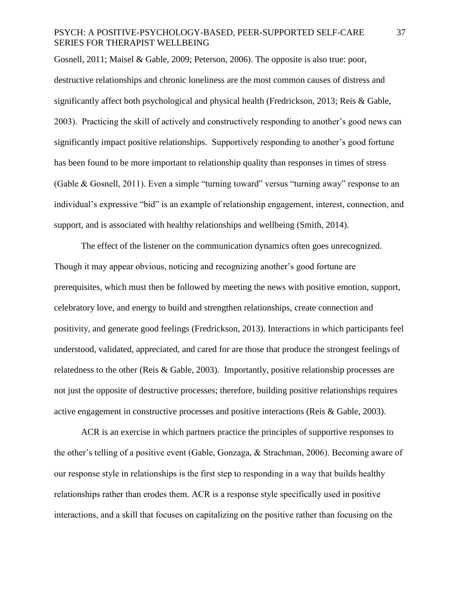Gosnell, 2011; Maisel & Gable, 2009; Peterson, 2006). The opposite is also true: poor, destructive relationships and chronic loneliness are the most common causes of distress and significantly affect both psychological and physical health (Fredrickson, 2013; Reis & Gable, 2003). Practicing the skill of actively and constructively responding to another's good news can significantly impact positive relationships. Supportively responding to another's good fortune has been found to be more important to relationship quality than responses in times of stress (Gable & Gosnell, 2011). Even a simple "turning toward" versus "turning away" response to an individual's expressive "bid" is an example of relationship engagement, interest, connection, and support, and is associated with healthy relationships and wellbeing (Smith, 2014).

The effect of the listener on the communication dynamics often goes unrecognized. Though it may appear obvious, noticing and recognizing another's good fortune are prerequisites, which must then be followed by meeting the news with positive emotion, support, celebratory love, and energy to build and strengthen relationships, create connection and positivity, and generate good feelings (Fredrickson, 2013). Interactions in which participants feel understood, validated, appreciated, and cared for are those that produce the strongest feelings of relatedness to the other (Reis & Gable, 2003). Importantly, positive relationship processes are not just the opposite of destructive processes; therefore, building positive relationships requires active engagement in constructive processes and positive interactions (Reis & Gable, 2003).

ACR is an exercise in which partners practice the principles of supportive responses to the other's telling of a positive event (Gable, Gonzaga, & Strachman, 2006). Becoming aware of our response style in relationships is the first step to responding in a way that builds healthy relationships rather than erodes them. ACR is a response style specifically used in positive interactions, and a skill that focuses on capitalizing on the positive rather than focusing on the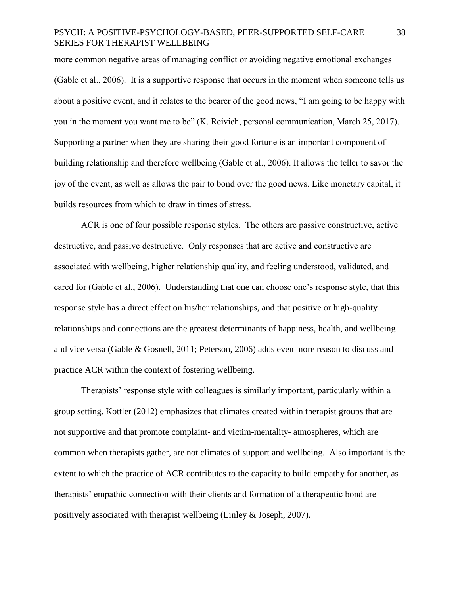more common negative areas of managing conflict or avoiding negative emotional exchanges (Gable et al., 2006). It is a supportive response that occurs in the moment when someone tells us about a positive event, and it relates to the bearer of the good news, "I am going to be happy with you in the moment you want me to be" (K. Reivich, personal communication, March 25, 2017). Supporting a partner when they are sharing their good fortune is an important component of building relationship and therefore wellbeing (Gable et al., 2006). It allows the teller to savor the joy of the event, as well as allows the pair to bond over the good news. Like monetary capital, it builds resources from which to draw in times of stress.

ACR is one of four possible response styles. The others are passive constructive, active destructive, and passive destructive. Only responses that are active and constructive are associated with wellbeing, higher relationship quality, and feeling understood, validated, and cared for (Gable et al., 2006). Understanding that one can choose one's response style, that this response style has a direct effect on his/her relationships, and that positive or high-quality relationships and connections are the greatest determinants of happiness, health, and wellbeing and vice versa (Gable & Gosnell, 2011; Peterson, 2006) adds even more reason to discuss and practice ACR within the context of fostering wellbeing.

Therapists' response style with colleagues is similarly important, particularly within a group setting. Kottler (2012) emphasizes that climates created within therapist groups that are not supportive and that promote complaint- and victim-mentality- atmospheres, which are common when therapists gather, are not climates of support and wellbeing. Also important is the extent to which the practice of ACR contributes to the capacity to build empathy for another, as therapists' empathic connection with their clients and formation of a therapeutic bond are positively associated with therapist wellbeing (Linley & Joseph, 2007).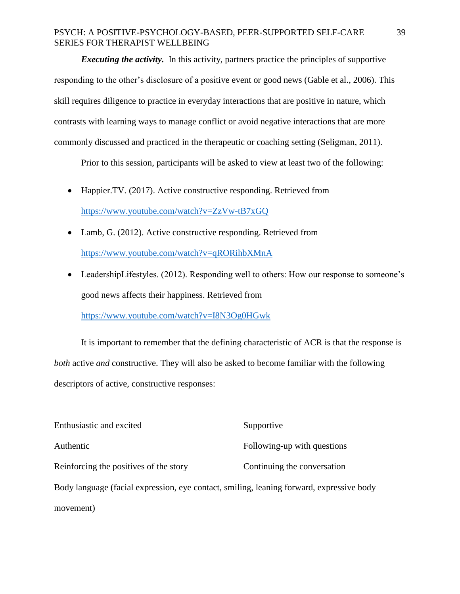*Executing the activity.* In this activity, partners practice the principles of supportive responding to the other's disclosure of a positive event or good news (Gable et al., 2006). This skill requires diligence to practice in everyday interactions that are positive in nature, which contrasts with learning ways to manage conflict or avoid negative interactions that are more commonly discussed and practiced in the therapeutic or coaching setting (Seligman, 2011).

Prior to this session, participants will be asked to view at least two of the following:

- Happier.TV. (2017). Active constructive responding. Retrieved from <https://www.youtube.com/watch?v=ZzVw-tB7xGQ>
- Lamb, G. (2012). Active constructive responding. Retrieved from <https://www.youtube.com/watch?v=qRORihbXMnA>
- LeadershipLifestyles. (2012). Responding well to others: How our response to someone's good news affects their happiness. Retrieved from

<https://www.youtube.com/watch?v=I8N3Og0HGwk>

It is important to remember that the defining characteristic of ACR is that the response is *both* active *and* constructive. They will also be asked to become familiar with the following descriptors of active, constructive responses:

| Enthusiastic and excited                                                                 | Supportive                  |
|------------------------------------------------------------------------------------------|-----------------------------|
| Authentic                                                                                | Following-up with questions |
| Reinforcing the positives of the story                                                   | Continuing the conversation |
| Body language (facial expression, eye contact, smiling, leaning forward, expressive body |                             |
| movement)                                                                                |                             |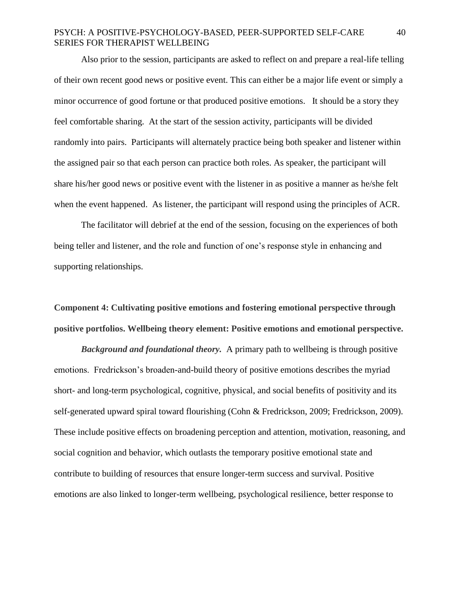Also prior to the session, participants are asked to reflect on and prepare a real-life telling of their own recent good news or positive event. This can either be a major life event or simply a minor occurrence of good fortune or that produced positive emotions. It should be a story they feel comfortable sharing. At the start of the session activity, participants will be divided randomly into pairs. Participants will alternately practice being both speaker and listener within the assigned pair so that each person can practice both roles. As speaker, the participant will share his/her good news or positive event with the listener in as positive a manner as he/she felt when the event happened. As listener, the participant will respond using the principles of ACR.

The facilitator will debrief at the end of the session, focusing on the experiences of both being teller and listener, and the role and function of one's response style in enhancing and supporting relationships.

**Component 4: Cultivating positive emotions and fostering emotional perspective through positive portfolios. Wellbeing theory element: Positive emotions and emotional perspective.**

*Background and foundational theory.* A primary path to wellbeing is through positive emotions. Fredrickson's broaden-and-build theory of positive emotions describes the myriad short- and long-term psychological, cognitive, physical, and social benefits of positivity and its self-generated upward spiral toward flourishing (Cohn & Fredrickson, 2009; Fredrickson, 2009). These include positive effects on broadening perception and attention, motivation, reasoning, and social cognition and behavior, which outlasts the temporary positive emotional state and contribute to building of resources that ensure longer-term success and survival. Positive emotions are also linked to longer-term wellbeing, psychological resilience, better response to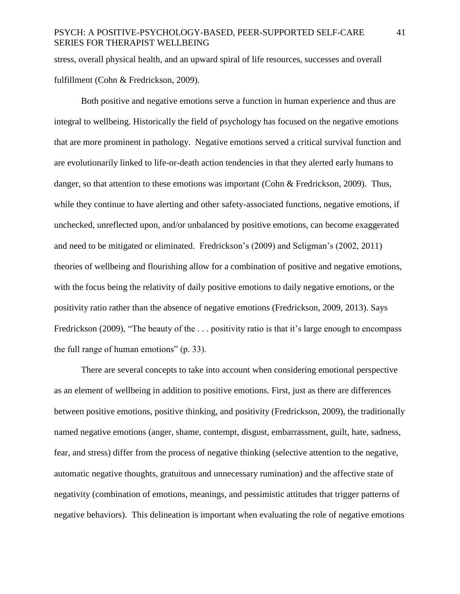stress, overall physical health, and an upward spiral of life resources, successes and overall fulfillment (Cohn & Fredrickson, 2009).

Both positive and negative emotions serve a function in human experience and thus are integral to wellbeing. Historically the field of psychology has focused on the negative emotions that are more prominent in pathology. Negative emotions served a critical survival function and are evolutionarily linked to life-or-death action tendencies in that they alerted early humans to danger, so that attention to these emotions was important (Cohn & Fredrickson, 2009). Thus, while they continue to have alerting and other safety-associated functions, negative emotions, if unchecked, unreflected upon, and/or unbalanced by positive emotions, can become exaggerated and need to be mitigated or eliminated. Fredrickson's (2009) and Seligman's (2002, 2011) theories of wellbeing and flourishing allow for a combination of positive and negative emotions, with the focus being the relativity of daily positive emotions to daily negative emotions, or the positivity ratio rather than the absence of negative emotions (Fredrickson, 2009, 2013). Says Fredrickson (2009), "The beauty of the ... positivity ratio is that it's large enough to encompass the full range of human emotions" (p. 33).

There are several concepts to take into account when considering emotional perspective as an element of wellbeing in addition to positive emotions. First, just as there are differences between positive emotions, positive thinking, and positivity (Fredrickson, 2009), the traditionally named negative emotions (anger, shame, contempt, disgust, embarrassment, guilt, hate, sadness, fear, and stress) differ from the process of negative thinking (selective attention to the negative, automatic negative thoughts, gratuitous and unnecessary rumination) and the affective state of negativity (combination of emotions, meanings, and pessimistic attitudes that trigger patterns of negative behaviors). This delineation is important when evaluating the role of negative emotions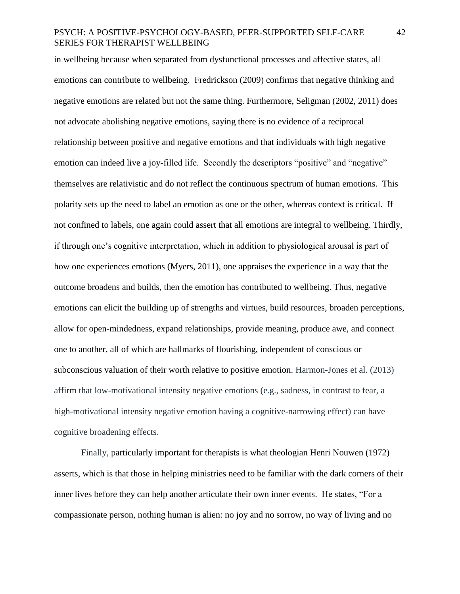in wellbeing because when separated from dysfunctional processes and affective states, all emotions can contribute to wellbeing. Fredrickson (2009) confirms that negative thinking and negative emotions are related but not the same thing. Furthermore, Seligman (2002, 2011) does not advocate abolishing negative emotions, saying there is no evidence of a reciprocal relationship between positive and negative emotions and that individuals with high negative emotion can indeed live a joy-filled life. Secondly the descriptors "positive" and "negative" themselves are relativistic and do not reflect the continuous spectrum of human emotions. This polarity sets up the need to label an emotion as one or the other, whereas context is critical. If not confined to labels, one again could assert that all emotions are integral to wellbeing. Thirdly, if through one's cognitive interpretation, which in addition to physiological arousal is part of how one experiences emotions (Myers, 2011), one appraises the experience in a way that the outcome broadens and builds, then the emotion has contributed to wellbeing. Thus, negative emotions can elicit the building up of strengths and virtues, build resources, broaden perceptions, allow for open-mindedness, expand relationships, provide meaning, produce awe, and connect one to another, all of which are hallmarks of flourishing, independent of conscious or subconscious valuation of their worth relative to positive emotion. Harmon-Jones et al. (2013) affirm that low-motivational intensity negative emotions (e.g., sadness, in contrast to fear, a high-motivational intensity negative emotion having a cognitive-narrowing effect) can have cognitive broadening effects.

Finally, particularly important for therapists is what theologian Henri Nouwen (1972) asserts, which is that those in helping ministries need to be familiar with the dark corners of their inner lives before they can help another articulate their own inner events. He states, "For a compassionate person, nothing human is alien: no joy and no sorrow, no way of living and no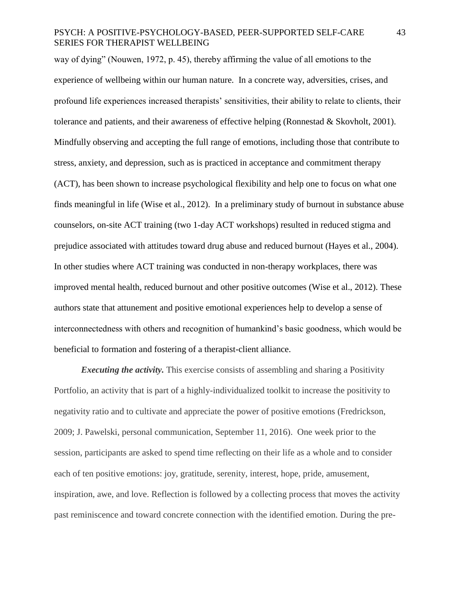way of dying" (Nouwen, 1972, p. 45), thereby affirming the value of all emotions to the experience of wellbeing within our human nature. In a concrete way, adversities, crises, and profound life experiences increased therapists' sensitivities, their ability to relate to clients, their tolerance and patients, and their awareness of effective helping (Ronnestad & Skovholt, 2001). Mindfully observing and accepting the full range of emotions, including those that contribute to stress, anxiety, and depression, such as is practiced in acceptance and commitment therapy (ACT), has been shown to increase psychological flexibility and help one to focus on what one finds meaningful in life (Wise et al., 2012). In a preliminary study of burnout in substance abuse counselors, on-site ACT training (two 1-day ACT workshops) resulted in reduced stigma and prejudice associated with attitudes toward drug abuse and reduced burnout (Hayes et al., 2004). In other studies where ACT training was conducted in non-therapy workplaces, there was improved mental health, reduced burnout and other positive outcomes (Wise et al., 2012). These authors state that attunement and positive emotional experiences help to develop a sense of interconnectedness with others and recognition of humankind's basic goodness, which would be beneficial to formation and fostering of a therapist-client alliance.

*Executing the activity.* This exercise consists of assembling and sharing a Positivity Portfolio, an activity that is part of a highly-individualized toolkit to increase the positivity to negativity ratio and to cultivate and appreciate the power of positive emotions (Fredrickson, 2009; J. Pawelski, personal communication, September 11, 2016). One week prior to the session, participants are asked to spend time reflecting on their life as a whole and to consider each of ten positive emotions: joy, gratitude, serenity, interest, hope, pride, amusement, inspiration, awe, and love. Reflection is followed by a collecting process that moves the activity past reminiscence and toward concrete connection with the identified emotion. During the pre-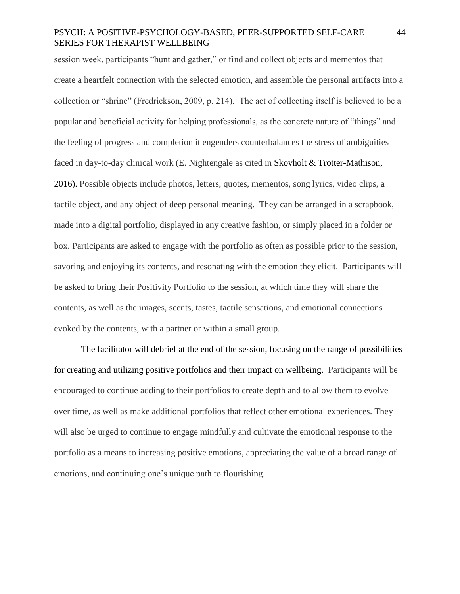session week, participants "hunt and gather," or find and collect objects and mementos that create a heartfelt connection with the selected emotion, and assemble the personal artifacts into a collection or "shrine" (Fredrickson, 2009, p. 214). The act of collecting itself is believed to be a popular and beneficial activity for helping professionals, as the concrete nature of "things" and the feeling of progress and completion it engenders counterbalances the stress of ambiguities faced in day-to-day clinical work (E. Nightengale as cited in Skovholt & Trotter-Mathison, 2016). Possible objects include photos, letters, quotes, mementos, song lyrics, video clips, a tactile object, and any object of deep personal meaning. They can be arranged in a scrapbook, made into a digital portfolio, displayed in any creative fashion, or simply placed in a folder or box. Participants are asked to engage with the portfolio as often as possible prior to the session, savoring and enjoying its contents, and resonating with the emotion they elicit. Participants will be asked to bring their Positivity Portfolio to the session, at which time they will share the contents, as well as the images, scents, tastes, tactile sensations, and emotional connections evoked by the contents, with a partner or within a small group.

The facilitator will debrief at the end of the session, focusing on the range of possibilities for creating and utilizing positive portfolios and their impact on wellbeing. Participants will be encouraged to continue adding to their portfolios to create depth and to allow them to evolve over time, as well as make additional portfolios that reflect other emotional experiences. They will also be urged to continue to engage mindfully and cultivate the emotional response to the portfolio as a means to increasing positive emotions, appreciating the value of a broad range of emotions, and continuing one's unique path to flourishing.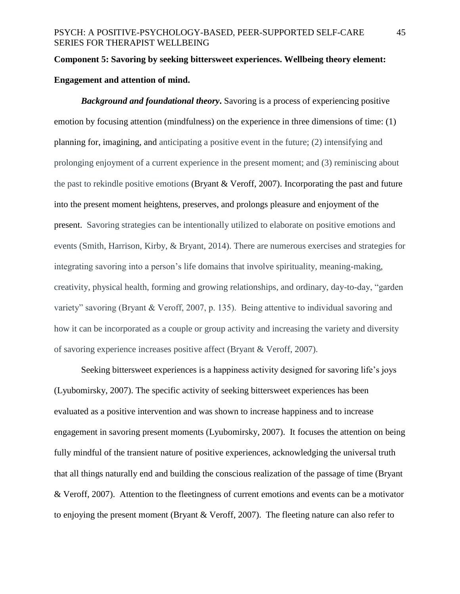# **Component 5: Savoring by seeking bittersweet experiences. Wellbeing theory element: Engagement and attention of mind.**

*Background and foundational theory***.** Savoring is a process of experiencing positive emotion by focusing attention (mindfulness) on the experience in three dimensions of time: (1) planning for, imagining, and anticipating a positive event in the future; (2) intensifying and prolonging enjoyment of a current experience in the present moment; and (3) reminiscing about the past to rekindle positive emotions (Bryant & Veroff, 2007). Incorporating the past and future into the present moment heightens, preserves, and prolongs pleasure and enjoyment of the present. Savoring strategies can be intentionally utilized to elaborate on positive emotions and events (Smith, Harrison, Kirby, & Bryant, 2014). There are numerous exercises and strategies for integrating savoring into a person's life domains that involve spirituality, meaning-making, creativity, physical health, forming and growing relationships, and ordinary, day-to-day, "garden variety" savoring (Bryant & Veroff, 2007, p. 135). Being attentive to individual savoring and how it can be incorporated as a couple or group activity and increasing the variety and diversity of savoring experience increases positive affect (Bryant & Veroff, 2007).

Seeking bittersweet experiences is a happiness activity designed for savoring life's joys (Lyubomirsky, 2007). The specific activity of seeking bittersweet experiences has been evaluated as a positive intervention and was shown to increase happiness and to increase engagement in savoring present moments (Lyubomirsky, 2007). It focuses the attention on being fully mindful of the transient nature of positive experiences, acknowledging the universal truth that all things naturally end and building the conscious realization of the passage of time (Bryant & Veroff, 2007). Attention to the fleetingness of current emotions and events can be a motivator to enjoying the present moment (Bryant & Veroff, 2007). The fleeting nature can also refer to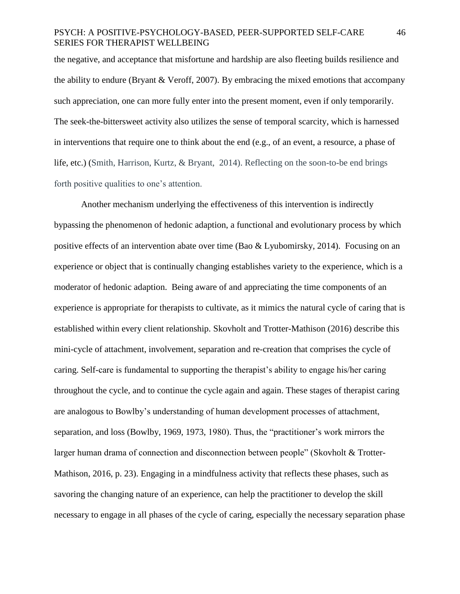the negative, and acceptance that misfortune and hardship are also fleeting builds resilience and the ability to endure (Bryant  $&$  Veroff, 2007). By embracing the mixed emotions that accompany such appreciation, one can more fully enter into the present moment, even if only temporarily. The seek-the-bittersweet activity also utilizes the sense of temporal scarcity, which is harnessed in interventions that require one to think about the end (e.g., of an event, a resource, a phase of life, etc.) (Smith, Harrison, Kurtz, & Bryant, 2014). Reflecting on the soon-to-be end brings forth positive qualities to one's attention.

Another mechanism underlying the effectiveness of this intervention is indirectly bypassing the phenomenon of hedonic adaption, a functional and evolutionary process by which positive effects of an intervention abate over time (Bao & Lyubomirsky, 2014). Focusing on an experience or object that is continually changing establishes variety to the experience, which is a moderator of hedonic adaption. Being aware of and appreciating the time components of an experience is appropriate for therapists to cultivate, as it mimics the natural cycle of caring that is established within every client relationship. Skovholt and Trotter-Mathison (2016) describe this mini-cycle of attachment, involvement, separation and re-creation that comprises the cycle of caring. Self-care is fundamental to supporting the therapist's ability to engage his/her caring throughout the cycle, and to continue the cycle again and again. These stages of therapist caring are analogous to Bowlby's understanding of human development processes of attachment, separation, and loss (Bowlby, 1969, 1973, 1980). Thus, the "practitioner's work mirrors the larger human drama of connection and disconnection between people" (Skovholt & Trotter-Mathison, 2016, p. 23). Engaging in a mindfulness activity that reflects these phases, such as savoring the changing nature of an experience, can help the practitioner to develop the skill necessary to engage in all phases of the cycle of caring, especially the necessary separation phase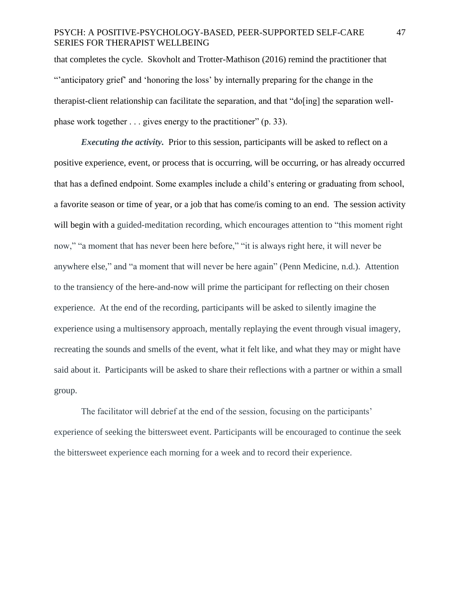that completes the cycle. Skovholt and Trotter-Mathison (2016) remind the practitioner that "'anticipatory grief' and 'honoring the loss' by internally preparing for the change in the therapist-client relationship can facilitate the separation, and that "do[ing] the separation wellphase work together . . . gives energy to the practitioner" (p. 33).

*Executing the activity.* Prior to this session, participants will be asked to reflect on a positive experience, event, or process that is occurring, will be occurring, or has already occurred that has a defined endpoint. Some examples include a child's entering or graduating from school, a favorite season or time of year, or a job that has come/is coming to an end. The session activity will begin with a guided-meditation recording, which encourages attention to "this moment right" now," "a moment that has never been here before," "it is always right here, it will never be anywhere else," and "a moment that will never be here again" (Penn Medicine, n.d.). Attention to the transiency of the here-and-now will prime the participant for reflecting on their chosen experience. At the end of the recording, participants will be asked to silently imagine the experience using a multisensory approach, mentally replaying the event through visual imagery, recreating the sounds and smells of the event, what it felt like, and what they may or might have said about it. Participants will be asked to share their reflections with a partner or within a small group.

The facilitator will debrief at the end of the session, focusing on the participants' experience of seeking the bittersweet event. Participants will be encouraged to continue the seek the bittersweet experience each morning for a week and to record their experience.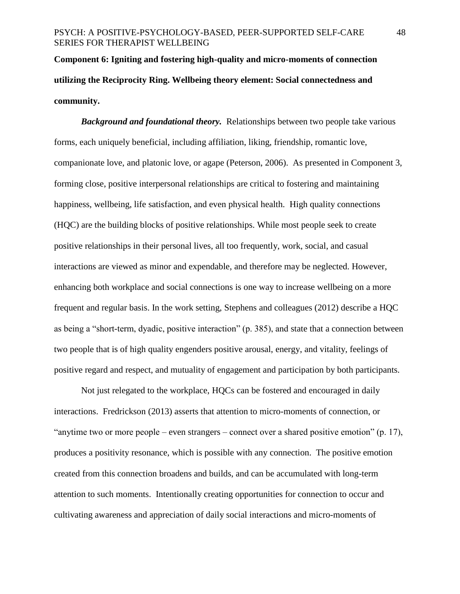**Component 6: Igniting and fostering high-quality and micro-moments of connection utilizing the Reciprocity Ring. Wellbeing theory element: Social connectedness and community.**

*Background and foundational theory.* Relationships between two people take various forms, each uniquely beneficial, including affiliation, liking, friendship, romantic love, companionate love, and platonic love, or agape (Peterson, 2006). As presented in Component 3, forming close, positive interpersonal relationships are critical to fostering and maintaining happiness, wellbeing, life satisfaction, and even physical health. High quality connections (HQC) are the building blocks of positive relationships. While most people seek to create positive relationships in their personal lives, all too frequently, work, social, and casual interactions are viewed as minor and expendable, and therefore may be neglected. However, enhancing both workplace and social connections is one way to increase wellbeing on a more frequent and regular basis. In the work setting, Stephens and colleagues (2012) describe a HQC as being a "short-term, dyadic, positive interaction" (p. 385), and state that a connection between two people that is of high quality engenders positive arousal, energy, and vitality, feelings of positive regard and respect, and mutuality of engagement and participation by both participants.

Not just relegated to the workplace, HQCs can be fostered and encouraged in daily interactions. Fredrickson (2013) asserts that attention to micro-moments of connection, or "anytime two or more people – even strangers – connect over a shared positive emotion" (p. 17), produces a positivity resonance, which is possible with any connection. The positive emotion created from this connection broadens and builds, and can be accumulated with long-term attention to such moments. Intentionally creating opportunities for connection to occur and cultivating awareness and appreciation of daily social interactions and micro-moments of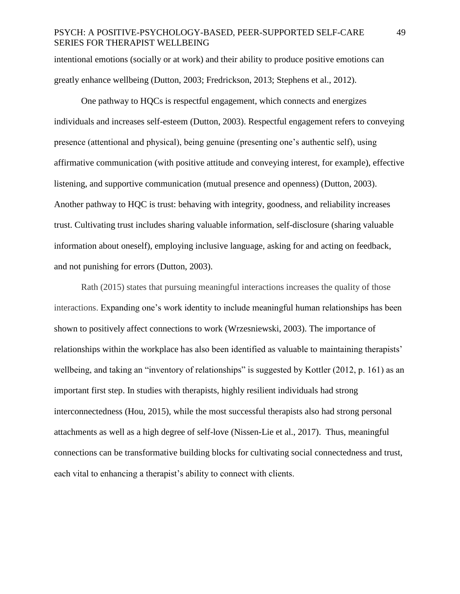intentional emotions (socially or at work) and their ability to produce positive emotions can greatly enhance wellbeing (Dutton, 2003; Fredrickson, 2013; Stephens et al., 2012).

One pathway to HQCs is respectful engagement, which connects and energizes individuals and increases self-esteem (Dutton, 2003). Respectful engagement refers to conveying presence (attentional and physical), being genuine (presenting one's authentic self), using affirmative communication (with positive attitude and conveying interest, for example), effective listening, and supportive communication (mutual presence and openness) (Dutton, 2003). Another pathway to HQC is trust: behaving with integrity, goodness, and reliability increases trust. Cultivating trust includes sharing valuable information, self-disclosure (sharing valuable information about oneself), employing inclusive language, asking for and acting on feedback, and not punishing for errors (Dutton, 2003).

Rath (2015) states that pursuing meaningful interactions increases the quality of those interactions. Expanding one's work identity to include meaningful human relationships has been shown to positively affect connections to work (Wrzesniewski, 2003). The importance of relationships within the workplace has also been identified as valuable to maintaining therapists' wellbeing, and taking an "inventory of relationships" is suggested by Kottler (2012, p. 161) as an important first step. In studies with therapists, highly resilient individuals had strong interconnectedness (Hou, 2015), while the most successful therapists also had strong personal attachments as well as a high degree of self-love (Nissen-Lie et al., 2017). Thus, meaningful connections can be transformative building blocks for cultivating social connectedness and trust, each vital to enhancing a therapist's ability to connect with clients.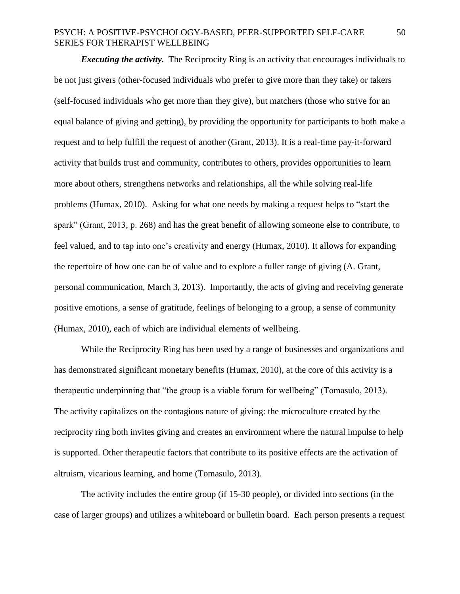*Executing the activity.* The Reciprocity Ring is an activity that encourages individuals to be not just givers (other-focused individuals who prefer to give more than they take) or takers (self-focused individuals who get more than they give), but matchers (those who strive for an equal balance of giving and getting), by providing the opportunity for participants to both make a request and to help fulfill the request of another (Grant, 2013). It is a real-time pay-it-forward activity that builds trust and community, contributes to others, provides opportunities to learn more about others, strengthens networks and relationships, all the while solving real-life problems (Humax, 2010). Asking for what one needs by making a request helps to "start the spark" (Grant, 2013, p. 268) and has the great benefit of allowing someone else to contribute, to feel valued, and to tap into one's creativity and energy (Humax, 2010). It allows for expanding the repertoire of how one can be of value and to explore a fuller range of giving (A. Grant, personal communication, March 3, 2013). Importantly, the acts of giving and receiving generate positive emotions, a sense of gratitude, feelings of belonging to a group, a sense of community (Humax, 2010), each of which are individual elements of wellbeing.

While the Reciprocity Ring has been used by a range of businesses and organizations and has demonstrated significant monetary benefits (Humax, 2010), at the core of this activity is a therapeutic underpinning that "the group is a viable forum for wellbeing" (Tomasulo, 2013). The activity capitalizes on the contagious nature of giving: the microculture created by the reciprocity ring both invites giving and creates an environment where the natural impulse to help is supported. Other therapeutic factors that contribute to its positive effects are the activation of altruism, vicarious learning, and home (Tomasulo, 2013).

The activity includes the entire group (if 15-30 people), or divided into sections (in the case of larger groups) and utilizes a whiteboard or bulletin board. Each person presents a request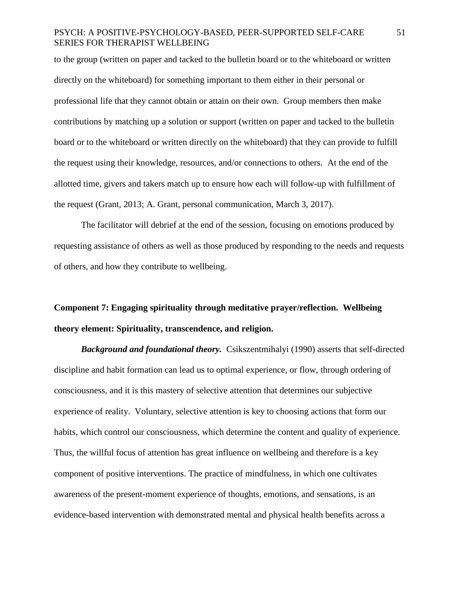to the group (written on paper and tacked to the bulletin board or to the whiteboard or written directly on the whiteboard) for something important to them either in their personal or professional life that they cannot obtain or attain on their own. Group members then make contributions by matching up a solution or support (written on paper and tacked to the bulletin board or to the whiteboard or written directly on the whiteboard) that they can provide to fulfill the request using their knowledge, resources, and/or connections to others. At the end of the allotted time, givers and takers match up to ensure how each will follow-up with fulfillment of the request (Grant, 2013; A. Grant, personal communication, March 3, 2017).

The facilitator will debrief at the end of the session, focusing on emotions produced by requesting assistance of others as well as those produced by responding to the needs and requests of others, and how they contribute to wellbeing.

# **Component 7: Engaging spirituality through meditative prayer/reflection. Wellbeing theory element: Spirituality, transcendence, and religion.**

*Background and foundational theory.* Csikszentmihalyi (1990) asserts that self-directed discipline and habit formation can lead us to optimal experience, or flow, through ordering of consciousness, and it is this mastery of selective attention that determines our subjective experience of reality. Voluntary, selective attention is key to choosing actions that form our habits, which control our consciousness, which determine the content and quality of experience. Thus, the willful focus of attention has great influence on wellbeing and therefore is a key component of positive interventions. The practice of mindfulness, in which one cultivates awareness of the present-moment experience of thoughts, emotions, and sensations, is an evidence-based intervention with demonstrated mental and physical health benefits across a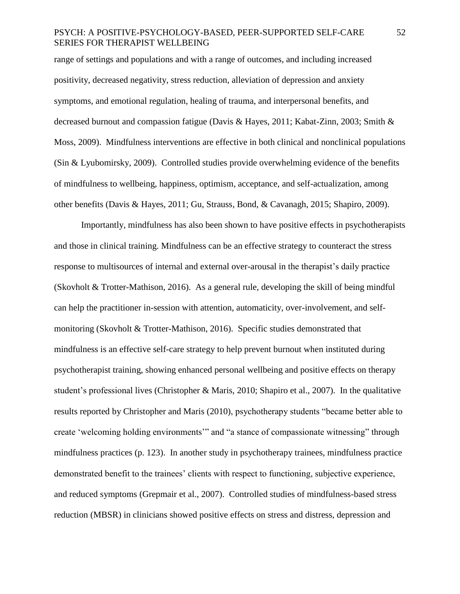range of settings and populations and with a range of outcomes, and including increased positivity, decreased negativity, stress reduction, alleviation of depression and anxiety symptoms, and emotional regulation, healing of trauma, and interpersonal benefits, and decreased burnout and compassion fatigue (Davis & Hayes, 2011; Kabat-Zinn, 2003; Smith & Moss, 2009). Mindfulness interventions are effective in both clinical and nonclinical populations (Sin & Lyubomirsky, 2009). Controlled studies provide overwhelming evidence of the benefits of mindfulness to wellbeing, happiness, optimism, acceptance, and self-actualization, among other benefits (Davis & Hayes, 2011; Gu, Strauss, Bond, & Cavanagh, 2015; Shapiro, 2009).

Importantly, mindfulness has also been shown to have positive effects in psychotherapists and those in clinical training. Mindfulness can be an effective strategy to counteract the stress response to multisources of internal and external over-arousal in the therapist's daily practice (Skovholt & Trotter-Mathison, 2016). As a general rule, developing the skill of being mindful can help the practitioner in-session with attention, automaticity, over-involvement, and selfmonitoring (Skovholt & Trotter-Mathison, 2016). Specific studies demonstrated that mindfulness is an effective self-care strategy to help prevent burnout when instituted during psychotherapist training, showing enhanced personal wellbeing and positive effects on therapy student's professional lives (Christopher & Maris, 2010; Shapiro et al., 2007). In the qualitative results reported by Christopher and Maris (2010), psychotherapy students "became better able to create 'welcoming holding environments'" and "a stance of compassionate witnessing" through mindfulness practices (p. 123). In another study in psychotherapy trainees, mindfulness practice demonstrated benefit to the trainees' clients with respect to functioning, subjective experience, and reduced symptoms (Grepmair et al., 2007). Controlled studies of mindfulness-based stress reduction (MBSR) in clinicians showed positive effects on stress and distress, depression and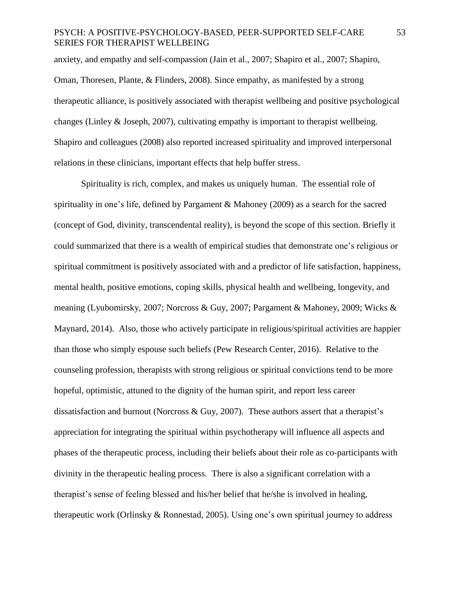anxiety, and empathy and self-compassion (Jain et al., 2007; Shapiro et al., 2007; Shapiro, Oman, Thoresen, Plante, & Flinders, 2008). Since empathy, as manifested by a strong therapeutic alliance, is positively associated with therapist wellbeing and positive psychological changes (Linley & Joseph, 2007), cultivating empathy is important to therapist wellbeing. Shapiro and colleagues (2008) also reported increased spirituality and improved interpersonal relations in these clinicians, important effects that help buffer stress.

Spirituality is rich, complex, and makes us uniquely human. The essential role of spirituality in one's life, defined by Pargament & Mahoney (2009) as a search for the sacred (concept of God, divinity, transcendental reality), is beyond the scope of this section. Briefly it could summarized that there is a wealth of empirical studies that demonstrate one's religious or spiritual commitment is positively associated with and a predictor of life satisfaction, happiness, mental health, positive emotions, coping skills, physical health and wellbeing, longevity, and meaning (Lyubomirsky, 2007; Norcross & Guy, 2007; Pargament & Mahoney, 2009; Wicks & Maynard, 2014). Also, those who actively participate in religious/spiritual activities are happier than those who simply espouse such beliefs (Pew Research Center, 2016). Relative to the counseling profession, therapists with strong religious or spiritual convictions tend to be more hopeful, optimistic, attuned to the dignity of the human spirit, and report less career dissatisfaction and burnout (Norcross & Guy, 2007). These authors assert that a therapist's appreciation for integrating the spiritual within psychotherapy will influence all aspects and phases of the therapeutic process, including their beliefs about their role as co-participants with divinity in the therapeutic healing process. There is also a significant correlation with a therapist's sense of feeling blessed and his/her belief that he/she is involved in healing, therapeutic work (Orlinsky & Ronnestad, 2005). Using one's own spiritual journey to address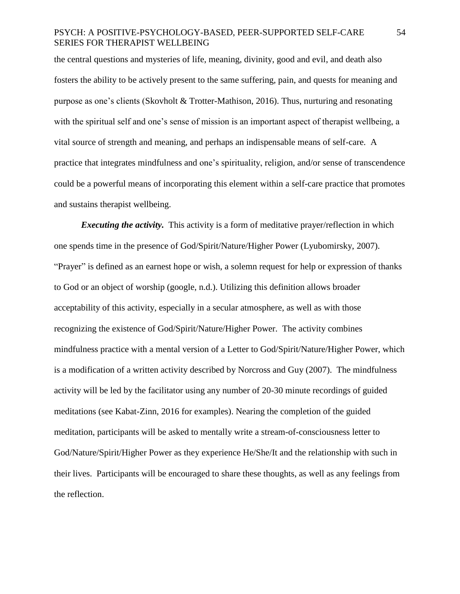the central questions and mysteries of life, meaning, divinity, good and evil, and death also fosters the ability to be actively present to the same suffering, pain, and quests for meaning and purpose as one's clients (Skovholt & Trotter-Mathison, 2016). Thus, nurturing and resonating with the spiritual self and one's sense of mission is an important aspect of therapist wellbeing, a vital source of strength and meaning, and perhaps an indispensable means of self-care. A practice that integrates mindfulness and one's spirituality, religion, and/or sense of transcendence could be a powerful means of incorporating this element within a self-care practice that promotes and sustains therapist wellbeing.

*Executing the activity.* This activity is a form of meditative prayer/reflection in which one spends time in the presence of God/Spirit/Nature/Higher Power (Lyubomirsky, 2007). "Prayer" is defined as an earnest hope or wish, a solemn request for help or expression of thanks to God or an object of worship (google, n.d.). Utilizing this definition allows broader acceptability of this activity, especially in a secular atmosphere, as well as with those recognizing the existence of God/Spirit/Nature/Higher Power. The activity combines mindfulness practice with a mental version of a Letter to God/Spirit/Nature/Higher Power, which is a modification of a written activity described by Norcross and Guy (2007). The mindfulness activity will be led by the facilitator using any number of 20-30 minute recordings of guided meditations (see Kabat-Zinn, 2016 for examples). Nearing the completion of the guided meditation, participants will be asked to mentally write a stream-of-consciousness letter to God/Nature/Spirit/Higher Power as they experience He/She/It and the relationship with such in their lives. Participants will be encouraged to share these thoughts, as well as any feelings from the reflection.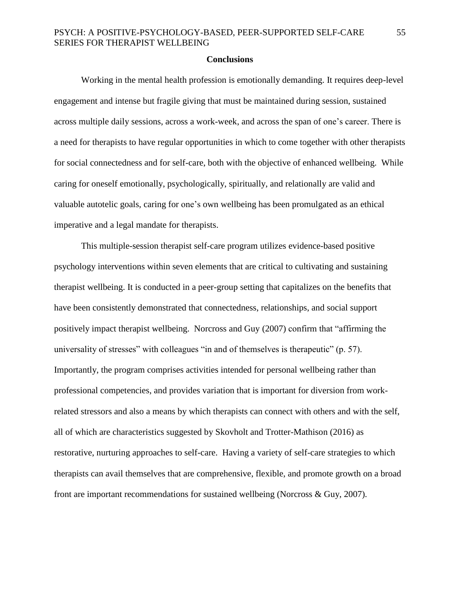#### **Conclusions**

Working in the mental health profession is emotionally demanding. It requires deep-level engagement and intense but fragile giving that must be maintained during session, sustained across multiple daily sessions, across a work-week, and across the span of one's career. There is a need for therapists to have regular opportunities in which to come together with other therapists for social connectedness and for self-care, both with the objective of enhanced wellbeing. While caring for oneself emotionally, psychologically, spiritually, and relationally are valid and valuable autotelic goals, caring for one's own wellbeing has been promulgated as an ethical imperative and a legal mandate for therapists.

This multiple-session therapist self-care program utilizes evidence-based positive psychology interventions within seven elements that are critical to cultivating and sustaining therapist wellbeing. It is conducted in a peer-group setting that capitalizes on the benefits that have been consistently demonstrated that connectedness, relationships, and social support positively impact therapist wellbeing. Norcross and Guy (2007) confirm that "affirming the universality of stresses" with colleagues "in and of themselves is therapeutic" (p. 57). Importantly, the program comprises activities intended for personal wellbeing rather than professional competencies, and provides variation that is important for diversion from workrelated stressors and also a means by which therapists can connect with others and with the self, all of which are characteristics suggested by Skovholt and Trotter-Mathison (2016) as restorative, nurturing approaches to self-care. Having a variety of self-care strategies to which therapists can avail themselves that are comprehensive, flexible, and promote growth on a broad front are important recommendations for sustained wellbeing (Norcross & Guy, 2007).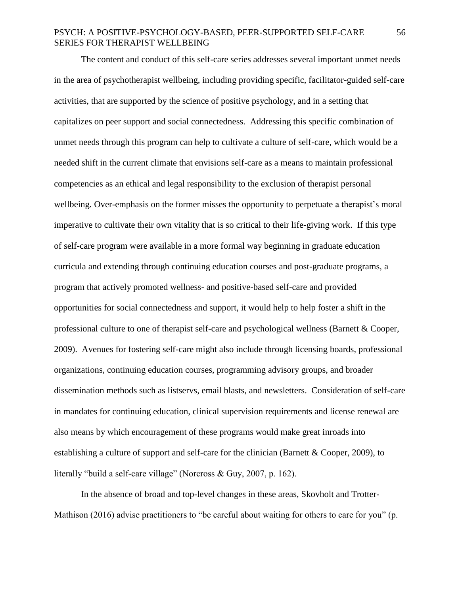The content and conduct of this self-care series addresses several important unmet needs in the area of psychotherapist wellbeing, including providing specific, facilitator-guided self-care activities, that are supported by the science of positive psychology, and in a setting that capitalizes on peer support and social connectedness. Addressing this specific combination of unmet needs through this program can help to cultivate a culture of self-care, which would be a needed shift in the current climate that envisions self-care as a means to maintain professional competencies as an ethical and legal responsibility to the exclusion of therapist personal wellbeing. Over-emphasis on the former misses the opportunity to perpetuate a therapist's moral imperative to cultivate their own vitality that is so critical to their life-giving work. If this type of self-care program were available in a more formal way beginning in graduate education curricula and extending through continuing education courses and post-graduate programs, a program that actively promoted wellness- and positive-based self-care and provided opportunities for social connectedness and support, it would help to help foster a shift in the professional culture to one of therapist self-care and psychological wellness (Barnett & Cooper, 2009). Avenues for fostering self-care might also include through licensing boards, professional organizations, continuing education courses, programming advisory groups, and broader dissemination methods such as listservs, email blasts, and newsletters. Consideration of self-care in mandates for continuing education, clinical supervision requirements and license renewal are also means by which encouragement of these programs would make great inroads into establishing a culture of support and self-care for the clinician (Barnett & Cooper, 2009), to literally "build a self-care village" (Norcross & Guy, 2007, p. 162).

In the absence of broad and top-level changes in these areas, Skovholt and Trotter-Mathison (2016) advise practitioners to "be careful about waiting for others to care for you" (p.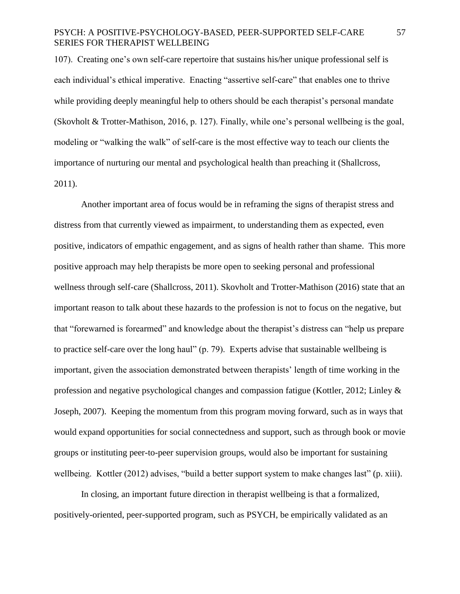107). Creating one's own self-care repertoire that sustains his/her unique professional self is each individual's ethical imperative. Enacting "assertive self-care" that enables one to thrive while providing deeply meaningful help to others should be each therapist's personal mandate (Skovholt & Trotter-Mathison, 2016, p. 127). Finally, while one's personal wellbeing is the goal, modeling or "walking the walk" of self-care is the most effective way to teach our clients the importance of nurturing our mental and psychological health than preaching it (Shallcross, 2011).

Another important area of focus would be in reframing the signs of therapist stress and distress from that currently viewed as impairment, to understanding them as expected, even positive, indicators of empathic engagement, and as signs of health rather than shame. This more positive approach may help therapists be more open to seeking personal and professional wellness through self-care (Shallcross, 2011). Skovholt and Trotter-Mathison (2016) state that an important reason to talk about these hazards to the profession is not to focus on the negative, but that "forewarned is forearmed" and knowledge about the therapist's distress can "help us prepare to practice self-care over the long haul" (p. 79). Experts advise that sustainable wellbeing is important, given the association demonstrated between therapists' length of time working in the profession and negative psychological changes and compassion fatigue (Kottler, 2012; Linley & Joseph, 2007). Keeping the momentum from this program moving forward, such as in ways that would expand opportunities for social connectedness and support, such as through book or movie groups or instituting peer-to-peer supervision groups, would also be important for sustaining wellbeing. Kottler (2012) advises, "build a better support system to make changes last" (p. xiii).

In closing, an important future direction in therapist wellbeing is that a formalized, positively-oriented, peer-supported program, such as PSYCH, be empirically validated as an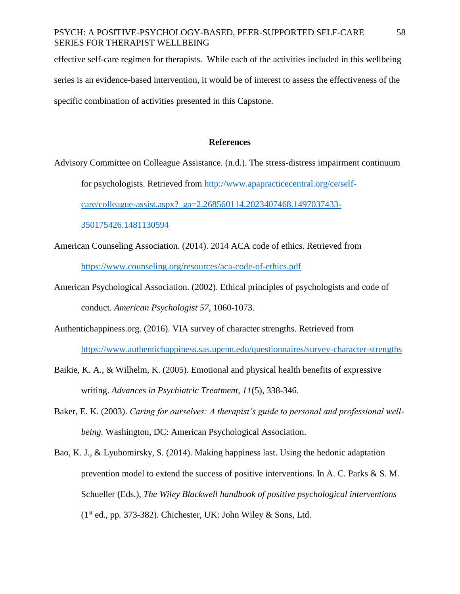effective self-care regimen for therapists. While each of the activities included in this wellbeing series is an evidence-based intervention, it would be of interest to assess the effectiveness of the specific combination of activities presented in this Capstone.

#### **References**

Advisory Committee on Colleague Assistance. (n.d.). The stress-distress impairment continuum

for psychologists. Retrieved from [http://www.apapracticecentral.org/ce/self-](http://www.apapracticecentral.org/ce/self-care/colleague-assist.aspx?_ga=2.268560114.2023407468.1497037433-350175426.1481130594)

[care/colleague-assist.aspx?\\_ga=2.268560114.2023407468.1497037433-](http://www.apapracticecentral.org/ce/self-care/colleague-assist.aspx?_ga=2.268560114.2023407468.1497037433-350175426.1481130594)

[350175426.1481130594](http://www.apapracticecentral.org/ce/self-care/colleague-assist.aspx?_ga=2.268560114.2023407468.1497037433-350175426.1481130594)

- American Counseling Association. (2014). 2014 ACA code of ethics. Retrieved from <https://www.counseling.org/resources/aca-code-of-ethics.pdf>
- American Psychological Association. (2002). Ethical principles of psychologists and code of conduct. *American Psychologist 57*, 1060-1073.
- Authentichappiness.org. (2016). VIA survey of character strengths. Retrieved from <https://www.authentichappiness.sas.upenn.edu/questionnaires/survey-character-strengths>
- Baikie, K. A., & Wilhelm, K. (2005). Emotional and physical health benefits of expressive writing. *Advances in Psychiatric Treatment, 11*(5), 338-346.
- Baker, E. K. (2003). *Caring for ourselves: A therapist's guide to personal and professional wellbeing.* Washington, DC: American Psychological Association.
- Bao, K. J., & Lyubomirsky, S. (2014). Making happiness last. Using the hedonic adaptation prevention model to extend the success of positive interventions. In A. C. Parks & S. M. Schueller (Eds.), *The Wiley Blackwell handbook of positive psychological interventions*  (1st ed., pp*.* 373-382). Chichester, UK: John Wiley & Sons, Ltd.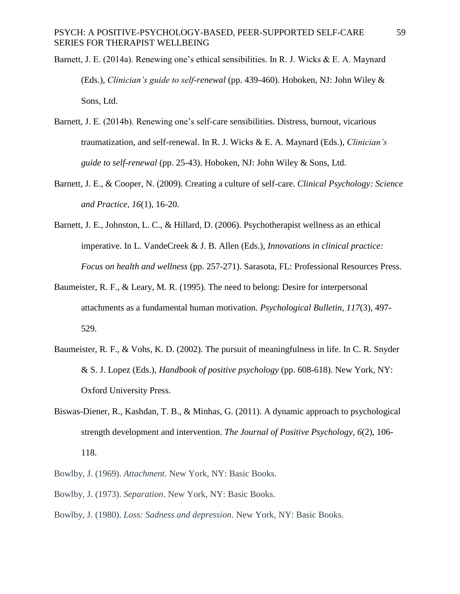- Barnett, J. E. (2014a). Renewing one's ethical sensibilities. In R. J. Wicks & E. A. Maynard (Eds.), *Clinician's guide to self-renewal* (pp. 439-460). Hoboken, NJ: John Wiley & Sons, Ltd.
- Barnett, J. E. (2014b). Renewing one's self-care sensibilities. Distress, burnout, vicarious traumatization, and self-renewal. In R. J. Wicks & E. A. Maynard (Eds.), *Clinician's guide to self-renewal* (pp. 25-43). Hoboken, NJ: John Wiley & Sons, Ltd.
- Barnett, J. E., & Cooper, N. (2009). Creating a culture of self-care. *Clinical Psychology: Science and Practice, 16*(1), 16-20.
- Barnett, J. E., Johnston, L. C., & Hillard, D. (2006). Psychotherapist wellness as an ethical imperative. In L. VandeCreek & J. B. Allen (Eds.), *Innovations in clinical practice: Focus on health and wellness* (pp. 257-271). Sarasota, FL: Professional Resources Press.
- Baumeister, R. F., & Leary, M. R. (1995). The need to belong: Desire for interpersonal attachments as a fundamental human motivation. *Psychological Bulletin, 117*(3), 497- 529.
- Baumeister, R. F., & Vohs, K. D. (2002). The pursuit of meaningfulness in life. In C. R. Snyder & S. J. Lopez (Eds.), *Handbook of positive psychology* (pp. 608-618). New York, NY: Oxford University Press.
- Biswas-Diener, R., Kashdan, T. B., & Minhas, G. (2011). A dynamic approach to psychological strength development and intervention. *The Journal of Positive Psychology, 6*(2), 106- 118.
- Bowlby, J. (1969). *Attachment*. New York, NY: Basic Books.
- Bowlby, J. (1973). *Separation*. New York, NY: Basic Books.
- Bowlby, J. (1980). *Loss: Sadness and depression*. New York, NY: Basic Books.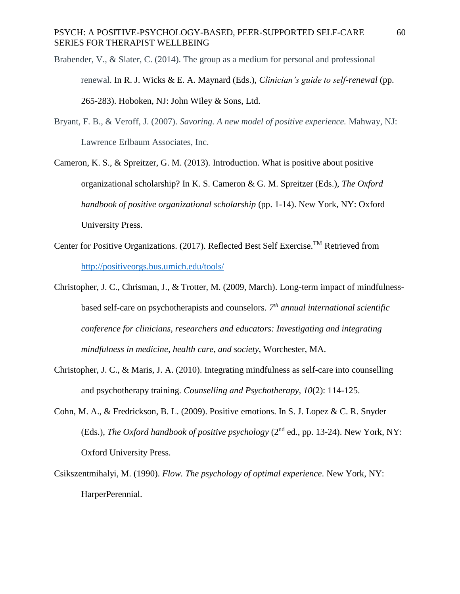- Brabender, V., & Slater, C. (2014). The group as a medium for personal and professional renewal. In R. J. Wicks & E. A. Maynard (Eds.), *Clinician's guide to self-renewal* (pp. 265-283). Hoboken, NJ: John Wiley & Sons, Ltd.
- Bryant, F. B., & Veroff, J. (2007). *Savoring. A new model of positive experience.* Mahway, NJ: Lawrence Erlbaum Associates, Inc.
- Cameron, K. S., & Spreitzer, G. M. (2013). Introduction. What is positive about positive organizational scholarship? In K. S. Cameron & G. M. Spreitzer (Eds.), *The Oxford handbook of positive organizational scholarship* (pp. 1-14). New York, NY: Oxford University Press.
- Center for Positive Organizations. (2017). Reflected Best Self Exercise.TM Retrieved from <http://positiveorgs.bus.umich.edu/tools/>
- Christopher, J. C., Chrisman, J., & Trotter, M. (2009, March). Long-term impact of mindfulnessbased self-care on psychotherapists and counselors. *7 th annual international scientific conference for clinicians, researchers and educators: Investigating and integrating mindfulness in medicine, health care, and society*, Worchester, MA.
- Christopher, J. C., & Maris, J. A. (2010). Integrating mindfulness as self-care into counselling and psychotherapy training. *Counselling and Psychotherapy, 10*(2): 114-125.
- Cohn, M. A., & Fredrickson, B. L. (2009). Positive emotions. In S. J. Lopez & C. R. Snyder (Eds.), *The Oxford handbook of positive psychology* (2nd ed., pp. 13-24). New York, NY: Oxford University Press.
- Csikszentmihalyi, M. (1990). *Flow. The psychology of optimal experience*. New York, NY: HarperPerennial.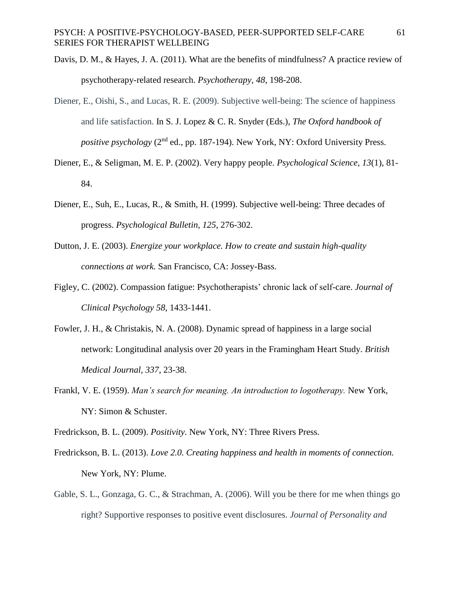- Davis, D. M., & Hayes, J. A. (2011). What are the benefits of mindfulness? A practice review of psychotherapy-related research. *Psychotherapy, 48*, 198-208.
- Diener, E., Oishi, S., and Lucas, R. E. (2009). Subjective well-being: The science of happiness and life satisfaction. In S. J. Lopez & C. R. Snyder (Eds.), *The Oxford handbook of positive psychology* (2<sup>nd</sup> ed., pp. 187-194). New York, NY: Oxford University Press.
- Diener, E., & Seligman, M. E. P. (2002). Very happy people. *Psychological Science, 13*(1), 81- 84.
- Diener, E., Suh, E., Lucas, R., & Smith, H. (1999). Subjective well-being: Three decades of progress. *Psychological Bulletin, 125*, 276-302.
- Dutton, J. E. (2003). *Energize your workplace. How to create and sustain high-quality connections at work.* San Francisco, CA: Jossey-Bass.
- Figley, C. (2002). Compassion fatigue: Psychotherapists' chronic lack of self-care. *Journal of Clinical Psychology 58*, 1433-1441.
- Fowler, J. H., & Christakis, N. A. (2008). Dynamic spread of happiness in a large social network: Longitudinal analysis over 20 years in the Framingham Heart Study. *British Medical Journal, 337*, 23-38.
- Frankl, V. E. (1959). *Man's search for meaning. An introduction to logotherapy.* New York, NY: Simon & Schuster.

Fredrickson, B. L. (2009). *Positivity.* New York, NY: Three Rivers Press.

- Fredrickson, B. L. (2013). *Love 2.0. Creating happiness and health in moments of connection.*  New York, NY: Plume.
- Gable, S. L., Gonzaga, G. C., & Strachman, A. (2006). Will you be there for me when things go right? Supportive responses to positive event disclosures. *Journal of Personality and*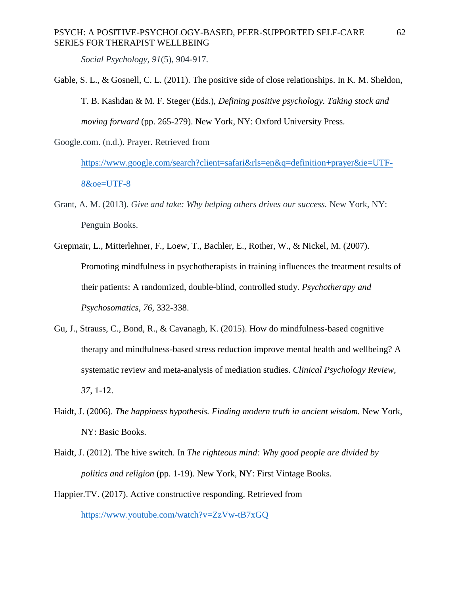*Social Psychology, 91*(5), 904-917.

Gable, S. L., & Gosnell, C. L. (2011). The positive side of close relationships. In K. M. Sheldon, T. B. Kashdan & M. F. Steger (Eds.), *Defining positive psychology. Taking stock and moving forward* (pp. 265-279). New York, NY: Oxford University Press.

Google.com. (n.d.). Prayer. Retrieved from

[https://www.google.com/search?client=safari&rls=en&q=definition+prayer&ie=UTF-](https://www.google.com/search?client=safari&rls=en&q=definition+prayer&ie=UTF-8&oe=UTF-8)[8&oe=UTF-8](https://www.google.com/search?client=safari&rls=en&q=definition+prayer&ie=UTF-8&oe=UTF-8)

- Grant, A. M. (2013). *Give and take: Why helping others drives our success.* New York, NY: Penguin Books.
- Grepmair, L., Mitterlehner, F., Loew, T., Bachler, E., Rother, W., & Nickel, M. (2007). Promoting mindfulness in psychotherapists in training influences the treatment results of their patients: A randomized, double-blind, controlled study. *Psychotherapy and Psychosomatics, 76*, 332-338.
- Gu, J., Strauss, C., Bond, R., & Cavanagh, K. (2015). How do mindfulness-based cognitive therapy and mindfulness-based stress reduction improve mental health and wellbeing? A systematic review and meta-analysis of mediation studies. *Clinical Psychology Review, 37*, 1-12.
- Haidt, J. (2006). *The happiness hypothesis. Finding modern truth in ancient wisdom.* New York, NY: Basic Books.
- Haidt, J. (2012). The hive switch. In *The righteous mind: Why good people are divided by politics and religion* (pp. 1-19). New York, NY: First Vintage Books.
- Happier.TV. (2017). Active constructive responding. Retrieved from <https://www.youtube.com/watch?v=ZzVw-tB7xGQ>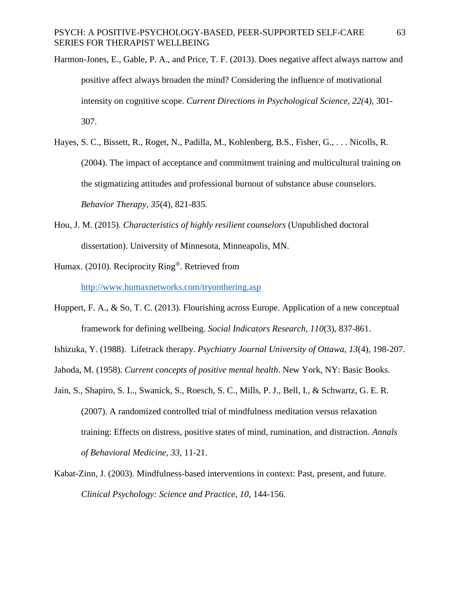- Harmon-Jones, E., Gable, P. A., and Price, T. F. (2013). Does negative affect always narrow and positive affect always broaden the mind? Considering the influence of motivational intensity on cognitive scope. *Current Directions in Psychological Science, 22(*4*)*, 301- 307.
- Hayes, S. C., Bissett, R., Roget, N., Padilla, M., Kohlenberg, B.S., Fisher, G., . . . Nicolls, R. (2004). The impact of acceptance and commitment training and multicultural training on the stigmatizing attitudes and professional burnout of substance abuse counselors. *Behavior Therapy, 35*(4), 821-835.
- Hou, J. M. (2015). *Characteristics of highly resilient counselors* (Unpublished doctoral dissertation). University of Minnesota, Minneapolis, MN.
- Humax. (2010). Reciprocity Ring®. Retrieved from

<http://www.humaxnetworks.com/tryonthering.asp>

- Huppert, F. A., & So, T. C. (2013). Flourishing across Europe. Application of a new conceptual framework for defining wellbeing. *Social Indicators Research, 110*(3), 837-861.
- Ishizuka, Y. (1988). Lifetrack therapy. *Psychiatry Journal University of Ottawa, 13*(4), 198-207.
- Jahoda, M. (1958). *Current concepts of positive mental health*. New York, NY: Basic Books.
- Jain, S., Shapiro, S. L., Swanick, S., Roesch, S. C., Mills, P. J., Bell, I., & Schwartz, G. E. R. (2007). A randomized controlled trial of mindfulness meditation versus relaxation training: Effects on distress, positive states of mind, rumination, and distraction. *Annals of Behavioral Medicine, 33,* 11-21.
- Kabat-Zinn, J. (2003). Mindfulness-based interventions in context: Past, present, and future. *Clinical Psychology: Science and Practice, 10*, 144-156.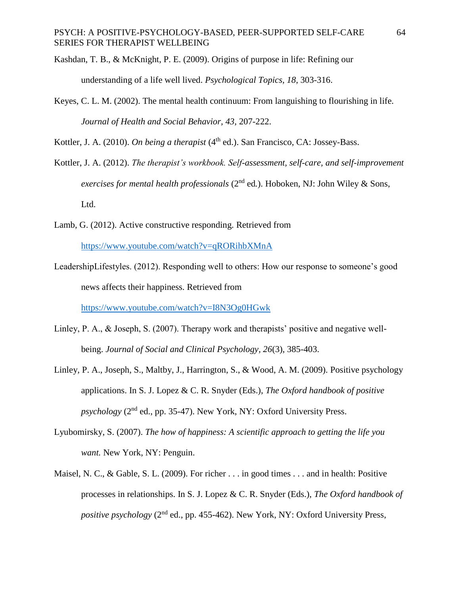- Kashdan, T. B., & McKnight, P. E. (2009). Origins of purpose in life: Refining our understanding of a life well lived. *Psychological Topics, 18*, 303-316.
- Keyes, C. L. M. (2002). The mental health continuum: From languishing to flourishing in life. *Journal of Health and Social Behavior, 43*, 207-222.

Kottler, J. A. (2010). *On being a therapist* (4<sup>th</sup> ed.). San Francisco, CA: Jossey-Bass.

- Kottler, J. A. (2012). *The therapist's workbook. Self-assessment, self-care, and self-improvement exercises for mental health professionals* (2<sup>nd</sup> ed.). Hoboken, NJ: John Wiley & Sons, Ltd.
- Lamb, G. (2012). Active constructive responding. Retrieved from <https://www.youtube.com/watch?v=qRORihbXMnA>
- LeadershipLifestyles. (2012). Responding well to others: How our response to someone's good news affects their happiness. Retrieved from

<https://www.youtube.com/watch?v=I8N3Og0HGwk>

- Linley, P. A., & Joseph, S. (2007). Therapy work and therapists' positive and negative wellbeing. *Journal of Social and Clinical Psychology, 26*(3), 385-403.
- Linley, P. A., Joseph, S., Maltby, J., Harrington, S., & Wood, A. M. (2009). Positive psychology applications. In S. J. Lopez & C. R. Snyder (Eds.), *The Oxford handbook of positive psychology* (2nd ed., pp. 35-47). New York, NY: Oxford University Press.
- Lyubomirsky, S. (2007). *The how of happiness: A scientific approach to getting the life you want.* New York, NY: Penguin.
- Maisel, N. C., & Gable, S. L. (2009). For richer . . . in good times . . . and in health: Positive processes in relationships. In S. J. Lopez & C. R. Snyder (Eds.), *The Oxford handbook of positive psychology* (2<sup>nd</sup> ed., pp. 455-462). New York, NY: Oxford University Press,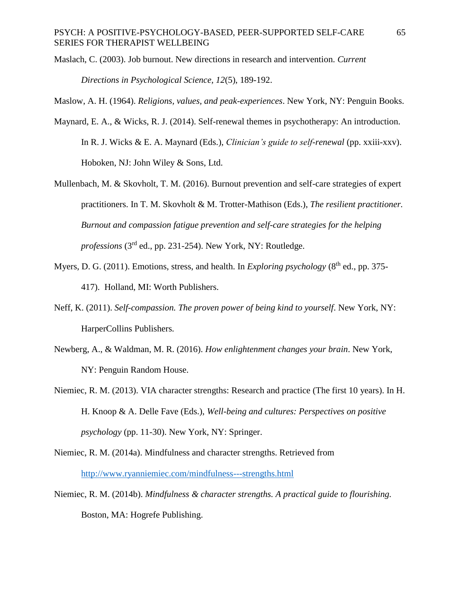- Maslach, C. (2003). Job burnout. New directions in research and intervention. *Current Directions in Psychological Science, 12*(5), 189-192.
- Maslow, A. H. (1964). *Religions, values, and peak-experiences*. New York, NY: Penguin Books.
- Maynard, E. A., & Wicks, R. J. (2014). Self-renewal themes in psychotherapy: An introduction. In R. J. Wicks & E. A. Maynard (Eds.), *Clinician's guide to self-renewal* (pp. xxiii-xxv). Hoboken, NJ: John Wiley & Sons, Ltd.
- Mullenbach, M. & Skovholt, T. M. (2016). Burnout prevention and self-care strategies of expert practitioners. In T. M. Skovholt & M. Trotter-Mathison (Eds.), *The resilient practitioner. Burnout and compassion fatigue prevention and self-care strategies for the helping professions* (3rd ed., pp. 231-254). New York, NY: Routledge.
- Myers, D. G. (2011). Emotions, stress, and health. In *Exploring psychology* (8<sup>th</sup> ed., pp. 375-417). Holland, MI: Worth Publishers.
- Neff, K. (2011). *Self-compassion. The proven power of being kind to yourself*. New York, NY: HarperCollins Publishers.
- Newberg, A., & Waldman, M. R. (2016). *How enlightenment changes your brain*. New York, NY: Penguin Random House.
- Niemiec, R. M. (2013). VIA character strengths: Research and practice (The first 10 years). In H. H. Knoop & A. Delle Fave (Eds.), *Well-being and cultures: Perspectives on positive psychology* (pp. 11-30). New York, NY: Springer.
- Niemiec, R. M. (2014a). Mindfulness and character strengths. Retrieved from <http://www.ryanniemiec.com/mindfulness---strengths.html>
- Niemiec, R. M. (2014b). *Mindfulness & character strengths. A practical guide to flourishing.*  Boston, MA: Hogrefe Publishing.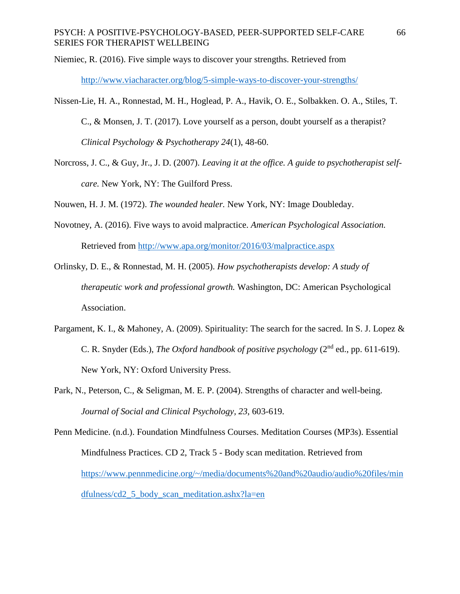Niemiec, R. (2016). Five simple ways to discover your strengths. Retrieved from

<http://www.viacharacter.org/blog/5-simple-ways-to-discover-your-strengths/>

- Nissen-Lie, H. A., Ronnestad, M. H., Hoglead, P. A., Havik, O. E., Solbakken. O. A., Stiles, T. C., & Monsen, J. T. (2017). Love yourself as a person, doubt yourself as a therapist? *Clinical Psychology & Psychotherapy 24*(1), 48-60.
- Norcross, J. C., & Guy, Jr., J. D. (2007). *Leaving it at the office. A guide to psychotherapist selfcare.* New York, NY: The Guilford Press.

Nouwen, H. J. M. (1972). *The wounded healer.* New York, NY: Image Doubleday.

- Novotney, A. (2016). Five ways to avoid malpractice. *American Psychological Association.*  Retrieved from<http://www.apa.org/monitor/2016/03/malpractice.aspx>
- Orlinsky, D. E., & Ronnestad, M. H. (2005). *How psychotherapists develop: A study of therapeutic work and professional growth.* Washington, DC: American Psychological Association.
- Pargament, K. I., & Mahoney, A. (2009). Spirituality: The search for the sacred. In S. J. Lopez & C. R. Snyder (Eds.), *The Oxford handbook of positive psychology* (2nd ed., pp. 611-619). New York, NY: Oxford University Press.
- Park, N., Peterson, C., & Seligman, M. E. P. (2004). Strengths of character and well-being. *Journal of Social and Clinical Psychology, 23*, 603-619.
- Penn Medicine. (n.d.). Foundation Mindfulness Courses. Meditation Courses (MP3s). Essential Mindfulness Practices. CD 2, Track 5 - Body scan meditation. Retrieved from [https://www.pennmedicine.org/~/media/documents%20and%20audio/audio%20files/min](https://www.pennmedicine.org/~/media/documents%20and%20audio/audio%20files/mindfulness/cd2_5_body_scan_meditation.ashx?la=en) [dfulness/cd2\\_5\\_body\\_scan\\_meditation.ashx?la=en](https://www.pennmedicine.org/~/media/documents%20and%20audio/audio%20files/mindfulness/cd2_5_body_scan_meditation.ashx?la=en)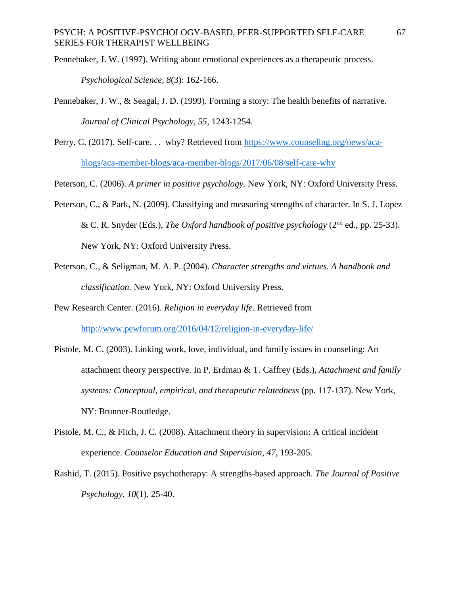Pennebaker, J. W. (1997). Writing about emotional experiences as a therapeutic process.

*Psychological Science, 8*(3): 162-166.

- Pennebaker, J. W., & Seagal, J. D. (1999). Forming a story: The health benefits of narrative. *Journal of Clinical Psychology, 55,* 1243-1254.
- Perry, C. (2017). Self-care. . . why? Retrieved from [https://www.counseling.org/news/aca](https://www.counseling.org/news/aca-blogs/aca-member-blogs/aca-member-blogs/2017/06/08/self-care-why)[blogs/aca-member-blogs/aca-member-blogs/2017/06/08/self-care-why](https://www.counseling.org/news/aca-blogs/aca-member-blogs/aca-member-blogs/2017/06/08/self-care-why)
- Peterson, C. (2006). *A primer in positive psychology.* New York, NY: Oxford University Press.
- Peterson, C., & Park, N. (2009). Classifying and measuring strengths of character. In S. J. Lopez & C. R. Snyder (Eds.), *The Oxford handbook of positive psychology* (2nd ed., pp. 25-33). New York, NY: Oxford University Press.
- Peterson, C., & Seligman, M. A. P. (2004). *Character strengths and virtues. A handbook and classification.* New York, NY: Oxford University Press.
- Pew Research Center. (2016). *Religion in everyday life*. Retrieved from <http://www.pewforum.org/2016/04/12/religion-in-everyday-life/>
- Pistole, M. C. (2003). Linking work, love, individual, and family issues in counseling: An attachment theory perspective. In P. Erdman & T. Caffrey (Eds.), *Attachment and family systems: Conceptual, empirical, and therapeutic relatedness* (pp. 117-137). New York, NY: Brunner-Routledge.
- Pistole, M. C., & Fitch, J. C. (2008). Attachment theory in supervision: A critical incident experience. *Counselor Education and Supervision, 47*, 193-205.
- Rashid, T. (2015). Positive psychotherapy: A strengths-based approach. *The Journal of Positive Psychology, 10*(1), 25-40.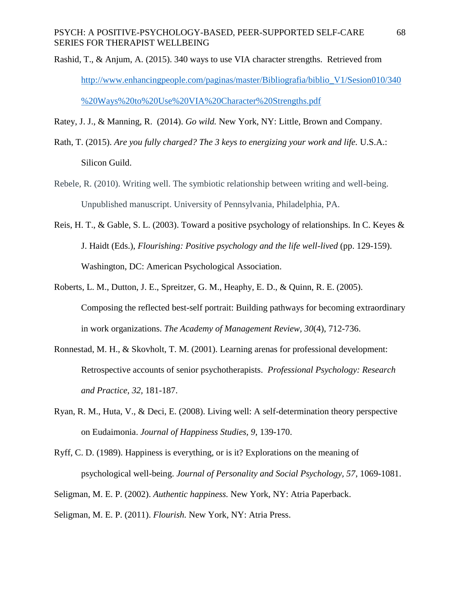Rashid, T., & Anjum, A. (2015). 340 ways to use VIA character strengths. Retrieved from [http://www.enhancingpeople.com/paginas/master/Bibliografia/biblio\\_V1/Sesion010/340](http://www.enhancingpeople.com/paginas/master/Bibliografia/biblio_V1/Sesion010/340%20Ways%20to%20Use%20VIA%20Character%20Strengths.pdf) [%20Ways%20to%20Use%20VIA%20Character%20Strengths.pdf](http://www.enhancingpeople.com/paginas/master/Bibliografia/biblio_V1/Sesion010/340%20Ways%20to%20Use%20VIA%20Character%20Strengths.pdf)

Ratey, J. J., & Manning, R. (2014). *Go wild.* New York, NY: Little, Brown and Company.

- Rath, T. (2015). *Are you fully charged? The 3 keys to energizing your work and life.* U.S.A.: Silicon Guild.
- Rebele, R. (2010). Writing well. The symbiotic relationship between writing and well-being. Unpublished manuscript. University of Pennsylvania, Philadelphia, PA.
- Reis, H. T., & Gable, S. L. (2003). Toward a positive psychology of relationships. In C. Keyes & J. Haidt (Eds.), *Flourishing: Positive psychology and the life well-lived* (pp. 129-159). Washington, DC: American Psychological Association.
- Roberts, L. M., Dutton, J. E., Spreitzer, G. M., Heaphy, E. D., & Quinn, R. E. (2005). Composing the reflected best-self portrait: Building pathways for becoming extraordinary in work organizations. *The Academy of Management Review, 30*(4), 712-736.
- Ronnestad, M. H., & Skovholt, T. M. (2001). Learning arenas for professional development: Retrospective accounts of senior psychotherapists. *Professional Psychology: Research and Practice, 32,* 181-187.
- Ryan, R. M., Huta, V., & Deci, E. (2008). Living well: A self-determination theory perspective on Eudaimonia. *Journal of Happiness Studies, 9*, 139-170.
- Ryff, C. D. (1989). Happiness is everything, or is it? Explorations on the meaning of psychological well-being. *Journal of Personality and Social Psychology, 57*, 1069-1081.
- Seligman, M. E. P. (2002). *Authentic happiness.* New York, NY: Atria Paperback.

Seligman, M. E. P. (2011). *Flourish.* New York, NY: Atria Press.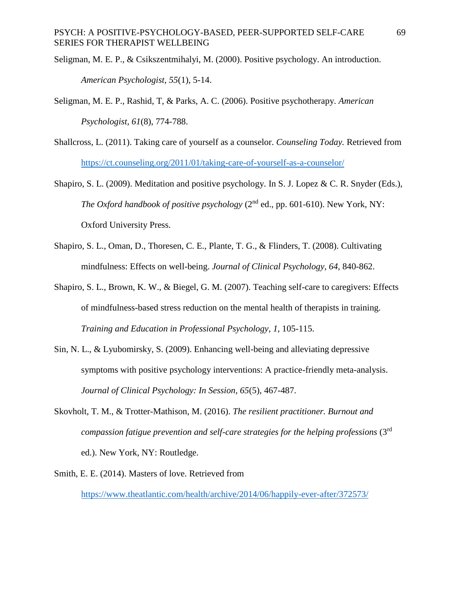Seligman, M. E. P., & Csikszentmihalyi, M. (2000). Positive psychology. An introduction. *American Psychologist, 55*(1), 5-14.

- Seligman, M. E. P., Rashid, T, & Parks, A. C. (2006). Positive psychotherapy. *American Psychologist, 61*(8), 774-788.
- Shallcross, L. (2011). Taking care of yourself as a counselor. *Counseling Today.* Retrieved from <https://ct.counseling.org/2011/01/taking-care-of-yourself-as-a-counselor/>
- Shapiro, S. L. (2009). Meditation and positive psychology. In S. J. Lopez & C. R. Snyder (Eds.), *The Oxford handbook of positive psychology* (2<sup>nd</sup> ed., pp. 601-610). New York, NY: Oxford University Press.
- Shapiro, S. L., Oman, D., Thoresen, C. E., Plante, T. G., & Flinders, T. (2008). Cultivating mindfulness: Effects on well-being. *Journal of Clinical Psychology, 64,* 840-862.
- Shapiro, S. L., Brown, K. W., & Biegel, G. M. (2007). Teaching self-care to caregivers: Effects of mindfulness-based stress reduction on the mental health of therapists in training. *Training and Education in Professional Psychology, 1*, 105-115.
- Sin, N. L., & Lyubomirsky, S. (2009). Enhancing well-being and alleviating depressive symptoms with positive psychology interventions: A practice-friendly meta-analysis. *Journal of Clinical Psychology: In Session, 65*(5), 467-487.
- Skovholt, T. M., & Trotter-Mathison, M. (2016). *The resilient practitioner. Burnout and compassion fatigue prevention and self-care strategies for the helping professions* (3rd ed.). New York, NY: Routledge.
- Smith, E. E. (2014). Masters of love. Retrieved from <https://www.theatlantic.com/health/archive/2014/06/happily-ever-after/372573/>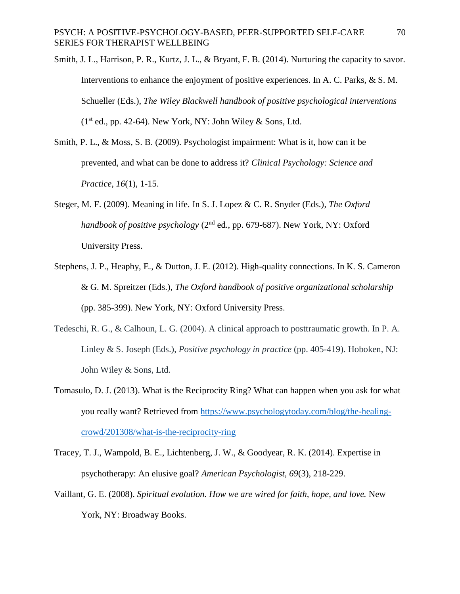Smith, J. L., Harrison, P. R., Kurtz, J. L., & Bryant, F. B. (2014). Nurturing the capacity to savor. Interventions to enhance the enjoyment of positive experiences. In A. C. Parks, & S. M. Schueller (Eds.), *The Wiley Blackwell handbook of positive psychological interventions*   $(1<sup>st</sup>$  ed., pp. 42-64). New York, NY: John Wiley & Sons, Ltd.

- Smith, P. L., & Moss, S. B. (2009). Psychologist impairment: What is it, how can it be prevented, and what can be done to address it? *Clinical Psychology: Science and Practice, 16*(1), 1-15.
- Steger, M. F. (2009). Meaning in life. In S. J. Lopez & C. R. Snyder (Eds.), *The Oxford handbook of positive psychology* (2nd ed., pp. 679-687). New York, NY: Oxford University Press.
- Stephens, J. P., Heaphy, E., & Dutton, J. E. (2012). High-quality connections. In K. S. Cameron & G. M. Spreitzer (Eds.), *The Oxford handbook of positive organizational scholarship*  (pp. 385-399). New York, NY: Oxford University Press.
- Tedeschi, R. G., & Calhoun, L. G. (2004). A clinical approach to posttraumatic growth. In P. A. Linley & S. Joseph (Eds.), *Positive psychology in practice* (pp. 405-419). Hoboken, NJ: John Wiley & Sons, Ltd.
- Tomasulo, D. J. (2013). What is the Reciprocity Ring? What can happen when you ask for what you really want? Retrieved from [https://www.psychologytoday.com/blog/the-healing](https://www.psychologytoday.com/blog/the-healing-crowd/201308/what-is-the-reciprocity-ring)[crowd/201308/what-is-the-reciprocity-ring](https://www.psychologytoday.com/blog/the-healing-crowd/201308/what-is-the-reciprocity-ring)
- Tracey, T. J., Wampold, B. E., Lichtenberg, J. W., & Goodyear, R. K. (2014). Expertise in psychotherapy: An elusive goal? *American Psychologist, 69*(3), 218-229.
- Vaillant, G. E. (2008). *Spiritual evolution. How we are wired for faith, hope, and love.* New York, NY: Broadway Books.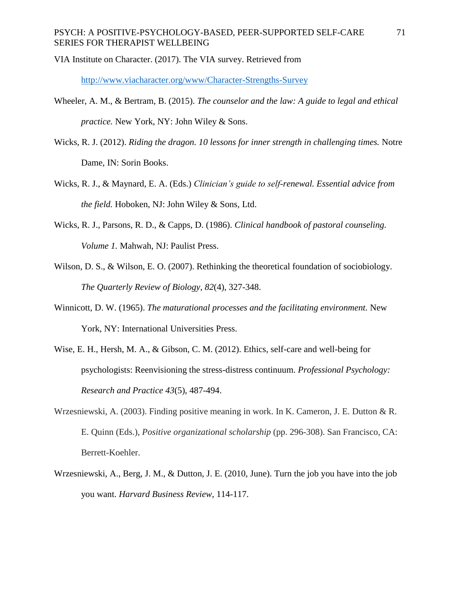## PSYCH: A POSITIVE-PSYCHOLOGY-BASED, PEER-SUPPORTED SELF-CARE SERIES FOR THERAPIST WELLBEING

VIA Institute on Character. (2017). The VIA survey. Retrieved from

<http://www.viacharacter.org/www/Character-Strengths-Survey>

- Wheeler, A. M., & Bertram, B. (2015). *The counselor and the law: A guide to legal and ethical practice.* New York, NY: John Wiley & Sons.
- Wicks, R. J. (2012). *Riding the dragon. 10 lessons for inner strength in challenging times.* Notre Dame, IN: Sorin Books.
- Wicks, R. J., & Maynard, E. A. (Eds.) *Clinician's guide to self-renewal. Essential advice from the field.* Hoboken, NJ: John Wiley & Sons, Ltd.
- Wicks, R. J., Parsons, R. D., & Capps, D. (1986). *Clinical handbook of pastoral counseling. Volume 1.* Mahwah, NJ: Paulist Press.
- Wilson, D. S., & Wilson, E. O. (2007). Rethinking the theoretical foundation of sociobiology. *The Quarterly Review of Biology*, *82*(4), 327-348.
- Winnicott, D. W. (1965). *The maturational processes and the facilitating environment.* New York, NY: International Universities Press.
- Wise, E. H., Hersh, M. A., & Gibson, C. M. (2012). Ethics, self-care and well-being for psychologists: Reenvisioning the stress-distress continuum. *Professional Psychology: Research and Practice 43*(5), 487-494.
- Wrzesniewski, A. (2003). Finding positive meaning in work. In K. Cameron, J. E. Dutton & R. E. Quinn (Eds.), *Positive organizational scholarship* (pp. 296-308). San Francisco, CA: Berrett-Koehler.
- Wrzesniewski, A., Berg, J. M., & Dutton, J. E. (2010, June). Turn the job you have into the job you want. *Harvard Business Review*, 114-117.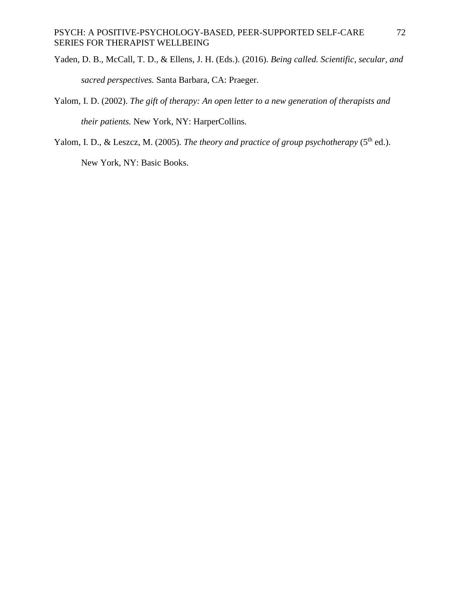- Yaden, D. B., McCall, T. D., & Ellens, J. H. (Eds.). (2016). *Being called. Scientific, secular, and sacred perspectives.* Santa Barbara, CA: Praeger.
- Yalom, I. D. (2002). *The gift of therapy: An open letter to a new generation of therapists and their patients.* New York, NY: HarperCollins.
- Yalom, I. D., & Leszcz, M. (2005). *The theory and practice of group psychotherapy* (5<sup>th</sup> ed.).

New York, NY: Basic Books.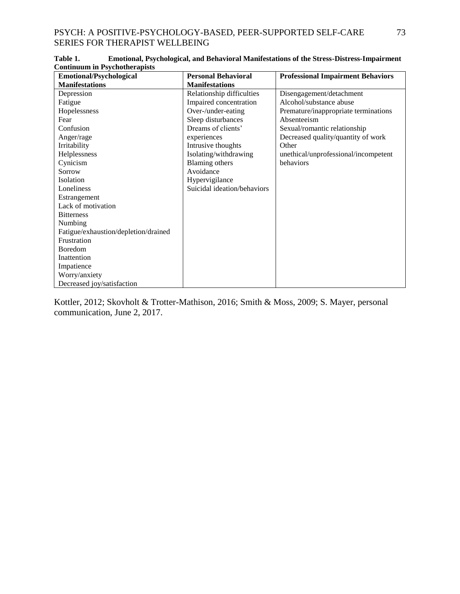| сопинципт на груспоинстария<br><b>Emotional/Psychological</b> | <b>Personal Behavioral</b>  | <b>Professional Impairment Behaviors</b> |
|---------------------------------------------------------------|-----------------------------|------------------------------------------|
| <b>Manifestations</b>                                         | <b>Manifestations</b>       |                                          |
| Depression                                                    | Relationship difficulties   | Disengagement/detachment                 |
| Fatigue                                                       | Impaired concentration      | Alcohol/substance abuse                  |
| Hopelessness                                                  | Over-/under-eating          | Premature/inappropriate terminations     |
| Fear                                                          | Sleep disturbances          | Absenteeism                              |
| Confusion                                                     | Dreams of clients'          | Sexual/romantic relationship             |
| Anger/rage                                                    | experiences                 | Decreased quality/quantity of work       |
| Irritability                                                  | Intrusive thoughts          | Other                                    |
| Helplessness                                                  | Isolating/withdrawing       | unethical/unprofessional/incompetent     |
| Cynicism                                                      | <b>Blaming others</b>       | behaviors                                |
| Sorrow                                                        | Avoidance                   |                                          |
| Isolation                                                     | Hypervigilance              |                                          |
| Loneliness                                                    | Suicidal ideation/behaviors |                                          |
| Estrangement                                                  |                             |                                          |
| Lack of motivation                                            |                             |                                          |
| <b>Bitterness</b>                                             |                             |                                          |
| Numbing                                                       |                             |                                          |
| Fatigue/exhaustion/depletion/drained                          |                             |                                          |
| Frustration                                                   |                             |                                          |
| Boredom                                                       |                             |                                          |
| Inattention                                                   |                             |                                          |
| Impatience                                                    |                             |                                          |
| Worry/anxiety                                                 |                             |                                          |
| Decreased joy/satisfaction                                    |                             |                                          |

**Table 1. Emotional, Psychological, and Behavioral Manifestations of the Stress-Distress-Impairment Continuum in Psychotherapists**

Kottler, 2012; Skovholt & Trotter-Mathison, 2016; Smith & Moss, 2009; S. Mayer, personal communication, June 2, 2017.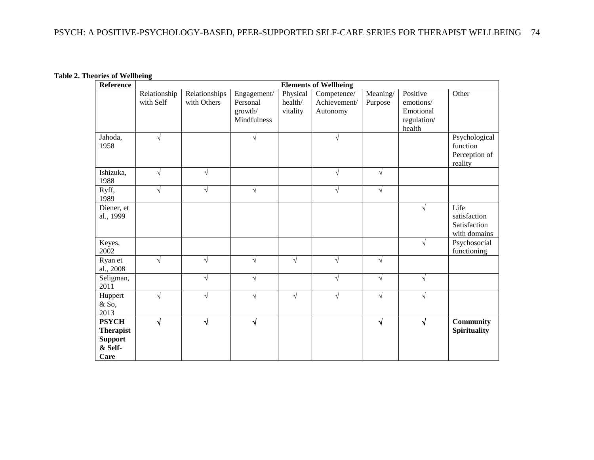**Table 2. Theories of Wellbeing**

| <b>Reference</b> | <b>Elements of Wellbeing</b> |               |             |           |              |            |             |                     |
|------------------|------------------------------|---------------|-------------|-----------|--------------|------------|-------------|---------------------|
|                  | Relationship                 | Relationships | Engagement/ | Physical  | Competence/  | Meaning/   | Positive    | Other               |
|                  | with Self                    | with Others   | Personal    | health/   | Achievement/ | Purpose    | emotions/   |                     |
|                  |                              |               | growth/     | vitality  | Autonomy     |            | Emotional   |                     |
|                  |                              |               | Mindfulness |           |              |            | regulation/ |                     |
|                  |                              |               |             |           |              |            | health      |                     |
| Jahoda,          | $\sqrt{}$                    |               | $\sqrt{}$   |           | $\sqrt{ }$   |            |             | Psychological       |
| 1958             |                              |               |             |           |              |            |             | function            |
|                  |                              |               |             |           |              |            |             | Perception of       |
|                  |                              |               |             |           |              |            |             | reality             |
| Ishizuka,        | $\sqrt{ }$                   | $\sqrt{ }$    |             |           | $\sqrt{ }$   | $\sqrt{ }$ |             |                     |
| 1988             |                              |               |             |           |              |            |             |                     |
| Ryff,<br>1989    | $\sqrt{}$                    | $\sqrt{}$     | $\sqrt{}$   |           | $\sqrt{ }$   | $\sqrt{ }$ |             |                     |
| Diener, et       |                              |               |             |           |              |            | V           | Life                |
| al., 1999        |                              |               |             |           |              |            |             | satisfaction        |
|                  |                              |               |             |           |              |            |             | Satisfaction        |
|                  |                              |               |             |           |              |            |             | with domains        |
| Keyes,           |                              |               |             |           |              |            | $\sqrt{ }$  | Psychosocial        |
| 2002             |                              |               |             |           |              |            |             | functioning         |
| Ryan et          | V                            | $\sqrt{}$     | $\sqrt{}$   | $\sqrt{}$ | $\sqrt{ }$   | $\sqrt{ }$ |             |                     |
| al., 2008        |                              |               |             |           |              |            |             |                     |
| Seligman,        |                              | $\sqrt{ }$    | $\sqrt{}$   |           | $\sqrt{ }$   | $\sqrt{ }$ | $\sqrt{ }$  |                     |
| 2011             |                              |               |             |           |              |            |             |                     |
| Huppert          | $\sqrt{}$                    | $\sqrt{}$     | $\sqrt{}$   | $\sqrt{}$ | $\sqrt{ }$   | $\sqrt{ }$ | V           |                     |
| & So,            |                              |               |             |           |              |            |             |                     |
| 2013             |                              |               |             |           |              |            |             |                     |
| <b>PSYCH</b>     | √                            | $\sqrt{}$     | $\sqrt{}$   |           |              | N          | N           | <b>Community</b>    |
| <b>Therapist</b> |                              |               |             |           |              |            |             | <b>Spirituality</b> |
| <b>Support</b>   |                              |               |             |           |              |            |             |                     |
| & Self-          |                              |               |             |           |              |            |             |                     |
| Care             |                              |               |             |           |              |            |             |                     |